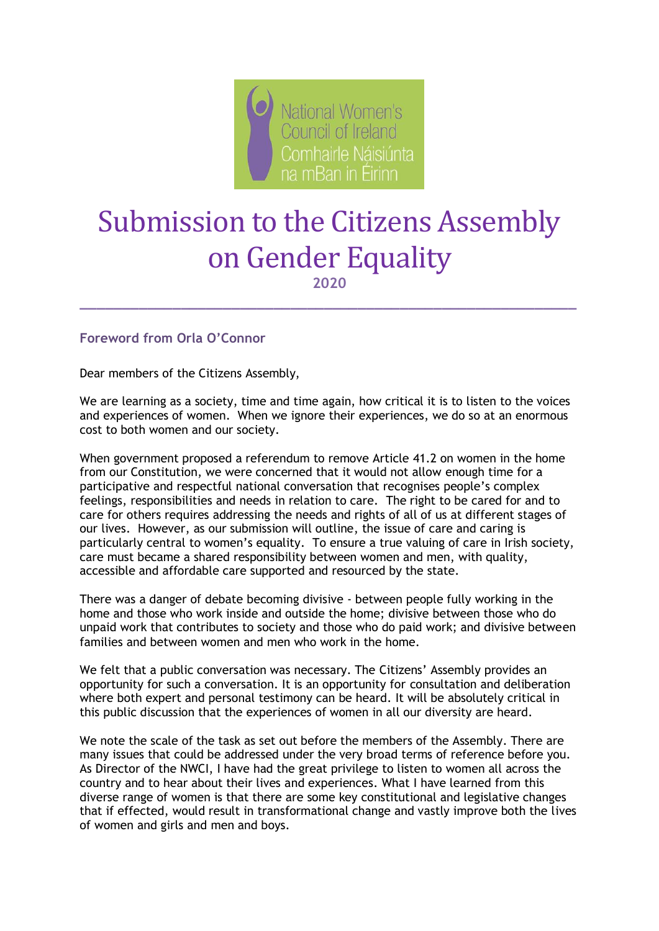

# Submission to the Citizens Assembly on Gender Equality

**2020**

**\_\_\_\_\_\_\_\_\_\_\_\_\_\_\_\_\_\_\_\_\_\_\_\_\_\_\_\_\_\_\_\_\_\_\_\_\_\_\_\_\_\_\_\_\_\_\_\_\_\_\_\_\_\_\_\_\_\_\_**

**Foreword from Orla O'Connor**

Dear members of the Citizens Assembly,

We are learning as a society, time and time again, how critical it is to listen to the voices and experiences of women. When we ignore their experiences, we do so at an enormous cost to both women and our society.

When government proposed a referendum to remove Article 41.2 on women in the home from our Constitution, we were concerned that it would not allow enough time for a participative and respectful national conversation that recognises people's complex feelings, responsibilities and needs in relation to care. The right to be cared for and to care for others requires addressing the needs and rights of all of us at different stages of our lives. However, as our submission will outline, the issue of care and caring is particularly central to women's equality. To ensure a true valuing of care in Irish society, care must became a shared responsibility between women and men, with quality, accessible and affordable care supported and resourced by the state.

There was a danger of debate becoming divisive - between people fully working in the home and those who work inside and outside the home; divisive between those who do unpaid work that contributes to society and those who do paid work; and divisive between families and between women and men who work in the home.

We felt that a public conversation was necessary. The Citizens' Assembly provides an opportunity for such a conversation. It is an opportunity for consultation and deliberation where both expert and personal testimony can be heard. It will be absolutely critical in this public discussion that the experiences of women in all our diversity are heard.

We note the scale of the task as set out before the members of the Assembly. There are many issues that could be addressed under the very broad terms of reference before you. As Director of the NWCI, I have had the great privilege to listen to women all across the country and to hear about their lives and experiences. What I have learned from this diverse range of women is that there are some key constitutional and legislative changes that if effected, would result in transformational change and vastly improve both the lives of women and girls and men and boys.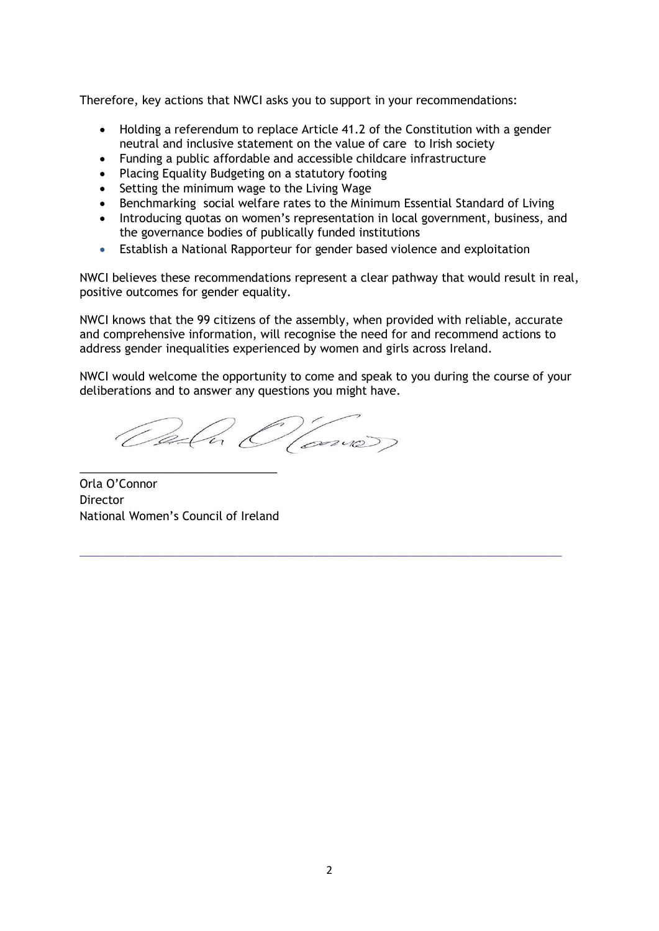Therefore, key actions that NWCI asks you to support in your recommendations:

- Holding a referendum to replace Article 41.2 of the Constitution with a gender neutral and inclusive statement on the value of care to Irish society
- Funding a public affordable and accessible childcare infrastructure
- Placing Equality Budgeting on a statutory footing
- Setting the minimum wage to the Living Wage
- Benchmarking social welfare rates to the Minimum Essential Standard of Living
- Introducing quotas on women's representation in local government, business, and the governance bodies of publically funded institutions
- Establish a National Rapporteur for gender based violence and exploitation

NWCI believes these recommendations represent a clear pathway that would result in real, positive outcomes for gender equality.

NWCI knows that the 99 citizens of the assembly, when provided with reliable, accurate and comprehensive information, will recognise the need for and recommend actions to address gender inequalities experienced by women and girls across Ireland.

NWCI would welcome the opportunity to come and speak to you during the course of your deliberations and to answer any questions you might have.

\_\_\_\_\_\_\_\_\_\_\_\_\_\_\_\_\_\_\_\_\_\_\_\_\_\_\_\_\_\_\_\_\_\_\_\_\_\_\_\_\_\_\_\_\_\_\_\_\_\_\_\_\_\_\_\_\_\_\_\_\_\_\_\_

Oala O'Como)

Orla O'Connor Director National Women's Council of Ireland

\_\_\_\_\_\_\_\_\_\_\_\_\_\_\_\_\_\_\_\_\_\_\_\_\_\_\_\_\_\_\_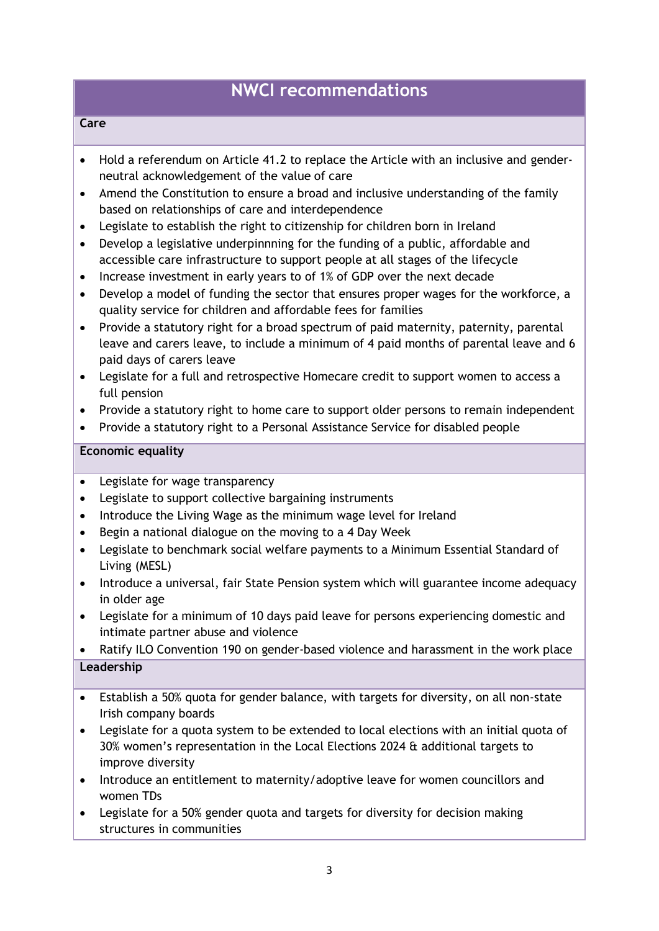# **NWCI recommendations**

#### **Care**

- Hold a referendum on Article 41.2 to replace the Article with an inclusive and genderneutral acknowledgement of the value of care
- Amend the Constitution to ensure a broad and inclusive understanding of the family based on relationships of care and interdependence
- Legislate to establish the right to citizenship for children born in Ireland
- Develop a legislative underpinnning for the funding of a public, affordable and accessible care infrastructure to support people at all stages of the lifecycle
- Increase investment in early years to of 1% of GDP over the next decade
- Develop a model of funding the sector that ensures proper wages for the workforce, a quality service for children and affordable fees for families
- Provide a statutory right for a broad spectrum of paid maternity, paternity, parental leave and carers leave, to include a minimum of 4 paid months of parental leave and 6 paid days of carers leave
- Legislate for a full and retrospective Homecare credit to support women to access a full pension
- Provide a statutory right to home care to support older persons to remain independent
- Provide a statutory right to a Personal Assistance Service for disabled people

#### **Economic equality**

- Legislate for wage transparency
- Legislate to support collective bargaining instruments
- Introduce the Living Wage as the minimum wage level for Ireland
- Begin a national dialogue on the moving to a 4 Day Week
- Legislate to benchmark social welfare payments to a Minimum Essential Standard of Living (MESL)
- Introduce a universal, fair State Pension system which will guarantee income adequacy in older age
- Legislate for a minimum of 10 days paid leave for persons experiencing domestic and intimate partner abuse and violence
- Ratify ILO Convention 190 on gender-based violence and harassment in the work place **Leadership**
- Establish a 50% quota for gender balance, with targets for diversity, on all non-state Irish company boards
- Legislate for a quota system to be extended to local elections with an initial quota of 30% women's representation in the Local Elections 2024 & additional targets to improve diversity
- Introduce an entitlement to maternity/adoptive leave for women councillors and women TDs
- Legislate for a 50% gender quota and targets for diversity for decision making structures in communities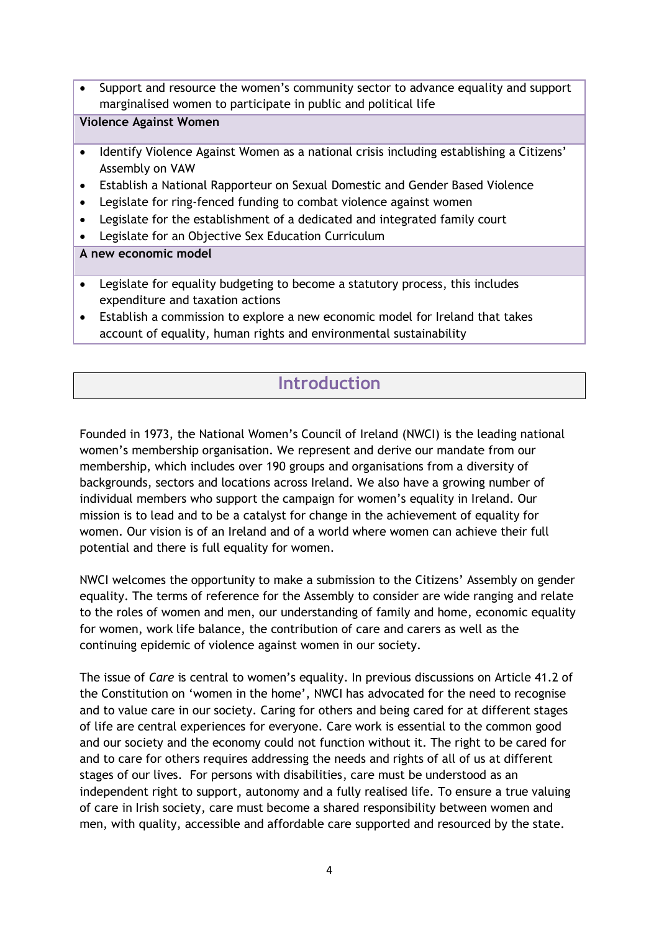Support and resource the women's community sector to advance equality and support marginalised women to participate in public and political life

#### **Violence Against Women**

- Identify Violence Against Women as a national crisis including establishing a Citizens' Assembly on VAW
- Establish a National Rapporteur on Sexual Domestic and Gender Based Violence
- Legislate for ring-fenced funding to combat violence against women
- Legislate for the establishment of a dedicated and integrated family court
- Legislate for an Objective Sex Education Curriculum

#### **A new economic model**

- Legislate for equality budgeting to become a statutory process, this includes expenditure and taxation actions
- Establish a commission to explore a new economic model for Ireland that takes account of equality, human rights and environmental sustainability

# **Introduction**

Founded in 1973, the National Women's Council of Ireland (NWCI) is the leading national women's membership organisation. We represent and derive our mandate from our membership, which includes over 190 groups and organisations from a diversity of backgrounds, sectors and locations across Ireland. We also have a growing number of individual members who support the campaign for women's equality in Ireland. Our mission is to lead and to be a catalyst for change in the achievement of equality for women. Our vision is of an Ireland and of a world where women can achieve their full potential and there is full equality for women.

NWCI welcomes the opportunity to make a submission to the Citizens' Assembly on gender equality. The terms of reference for the Assembly to consider are wide ranging and relate to the roles of women and men, our understanding of family and home, economic equality for women, work life balance, the contribution of care and carers as well as the continuing epidemic of violence against women in our society.

The issue of *Care* is central to women's equality. In previous discussions on Article 41.2 of the Constitution on 'women in the home', NWCI has advocated for the need to recognise and to value care in our society. Caring for others and being cared for at different stages of life are central experiences for everyone. Care work is essential to the common good and our society and the economy could not function without it. The right to be cared for and to care for others requires addressing the needs and rights of all of us at different stages of our lives. For persons with disabilities, care must be understood as an independent right to support, autonomy and a fully realised life. To ensure a true valuing of care in Irish society, care must become a shared responsibility between women and men, with quality, accessible and affordable care supported and resourced by the state.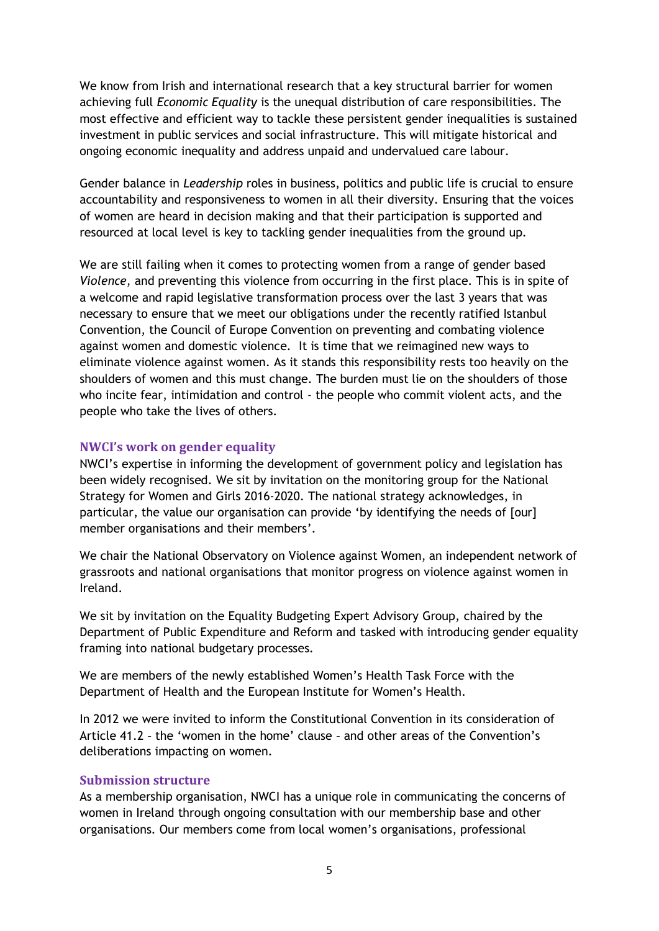We know from Irish and international research that a key structural barrier for women achieving full *Economic Equality* is the unequal distribution of care responsibilities. The most effective and efficient way to tackle these persistent gender inequalities is sustained investment in public services and social infrastructure. This will mitigate historical and ongoing economic inequality and address unpaid and undervalued care labour.

Gender balance in *Leadership* roles in business, politics and public life is crucial to ensure accountability and responsiveness to women in all their diversity. Ensuring that the voices of women are heard in decision making and that their participation is supported and resourced at local level is key to tackling gender inequalities from the ground up.

We are still failing when it comes to protecting women from a range of gender based *Violence*, and preventing this violence from occurring in the first place. This is in spite of a welcome and rapid legislative transformation process over the last 3 years that was necessary to ensure that we meet our obligations under the recently ratified Istanbul Convention, the Council of Europe Convention on preventing and combating violence against women and domestic violence. It is time that we reimagined new ways to eliminate violence against women. As it stands this responsibility rests too heavily on the shoulders of women and this must change. The burden must lie on the shoulders of those who incite fear, intimidation and control - the people who commit violent acts, and the people who take the lives of others.

#### **NWCI's work on gender equality**

NWCI's expertise in informing the development of government policy and legislation has been widely recognised. We sit by invitation on the monitoring group for the National Strategy for Women and Girls 2016-2020. The national strategy acknowledges, in particular, the value our organisation can provide 'by identifying the needs of [our] member organisations and their members'.

We chair the National Observatory on Violence against Women, an independent network of grassroots and national organisations that monitor progress on violence against women in Ireland.

We sit by invitation on the Equality Budgeting Expert Advisory Group, chaired by the Department of Public Expenditure and Reform and tasked with introducing gender equality framing into national budgetary processes.

We are members of the newly established Women's Health Task Force with the Department of Health and the European Institute for Women's Health.

In 2012 we were invited to inform the Constitutional Convention in its consideration of Article 41.2 – the 'women in the home' clause – and other areas of the Convention's deliberations impacting on women.

#### **Submission structure**

As a membership organisation, NWCI has a unique role in communicating the concerns of women in Ireland through ongoing consultation with our membership base and other organisations. Our members come from local women's organisations, professional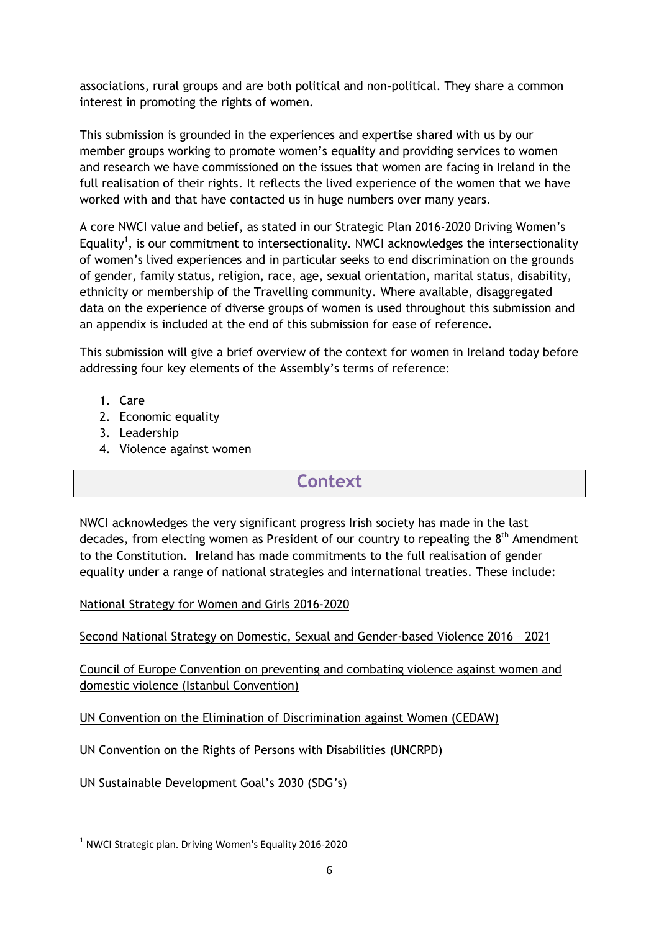associations, rural groups and are both political and non-political. They share a common interest in promoting the rights of women.

This submission is grounded in the experiences and expertise shared with us by our member groups working to promote women's equality and providing services to women and research we have commissioned on the issues that women are facing in Ireland in the full realisation of their rights. It reflects the lived experience of the women that we have worked with and that have contacted us in huge numbers over many years.

A core NWCI value and belief, as stated in our Strategic Plan 2016-2020 Driving Women's Equality<sup>1</sup>, is our commitment to intersectionality. NWCI acknowledges the intersectionality of women's lived experiences and in particular seeks to end discrimination on the grounds of gender, family status, religion, race, age, sexual orientation, marital status, disability, ethnicity or membership of the Travelling community. Where available, disaggregated data on the experience of diverse groups of women is used throughout this submission and an appendix is included at the end of this submission for ease of reference.

This submission will give a brief overview of the context for women in Ireland today before addressing four key elements of the Assembly's terms of reference:

1. Care

**.** 

- 2. Economic equality
- 3. Leadership
- 4. Violence against women

# **Context**

NWCI acknowledges the very significant progress Irish society has made in the last decades, from electing women as President of our country to repealing the 8<sup>th</sup> Amendment to the Constitution. Ireland has made commitments to the full realisation of gender equality under a range of national strategies and international treaties. These include:

#### National Strategy for Women and Girls 2016-2020

Second National Strategy on Domestic, Sexual and Gender-based Violence 2016 – 2021

Council of Europe Convention on preventing and combating violence against women and domestic violence (Istanbul Convention)

UN Convention on the Elimination of Discrimination against Women (CEDAW)

UN Convention on the Rights of Persons with Disabilities (UNCRPD)

UN Sustainable Development Goal's 2030 (SDG's)

 $<sup>1</sup>$  NWCI Strategic plan. Driving Women's Equality 2016-2020</sup>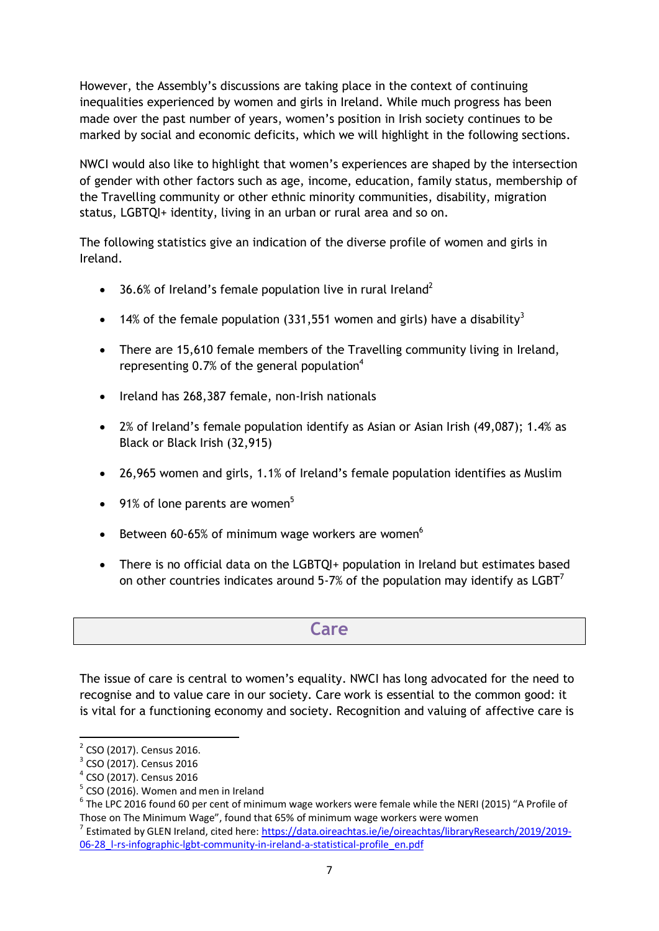However, the Assembly's discussions are taking place in the context of continuing inequalities experienced by women and girls in Ireland. While much progress has been made over the past number of years, women's position in Irish society continues to be marked by social and economic deficits, which we will highlight in the following sections.

NWCI would also like to highlight that women's experiences are shaped by the intersection of gender with other factors such as age, income, education, family status, membership of the Travelling community or other ethnic minority communities, disability, migration status, LGBTQI+ identity, living in an urban or rural area and so on.

The following statistics give an indication of the diverse profile of women and girls in Ireland.

- $\bullet$  36.6% of Ireland's female population live in rural Ireland<sup>2</sup>
- 14% of the female population (331,551 women and girls) have a disability<sup>3</sup>
- There are 15,610 female members of the Travelling community living in Ireland, representing  $0.7\%$  of the general population<sup>4</sup>
- Ireland has 268,387 female, non-Irish nationals
- 2% of Ireland's female population identify as Asian or Asian Irish (49,087); 1.4% as Black or Black Irish (32,915)
- 26,965 women and girls, 1.1% of Ireland's female population identifies as Muslim
- $\bullet$  91% of lone parents are women<sup>5</sup>
- **Between 60-65% of minimum wage workers are women**<sup>6</sup>
- There is no official data on the LGBTQI+ population in Ireland but estimates based on other countries indicates around 5-7% of the population may identify as  $LGBT^7$

# **Care**

The issue of care is central to women's equality. NWCI has long advocated for the need to recognise and to value care in our society. Care work is essential to the common good: it is vital for a functioning economy and society. Recognition and valuing of affective care is

**.** 

<sup>&</sup>lt;sup>2</sup> CSO (2017). Census 2016.

<sup>&</sup>lt;sup>3</sup> CSO (2017). Census 2016

<sup>4</sup> CSO (2017). Census 2016

<sup>&</sup>lt;sup>5</sup> CSO (2016). Women and men in Ireland

 $^6$  The LPC 2016 found 60 per cent of minimum wage workers were female while the NERI (2015) "A Profile of Those on The Minimum Wage", found that 65% of minimum wage workers were women

<sup>7</sup> Estimated by GLEN Ireland, cited here: [https://data.oireachtas.ie/ie/oireachtas/libraryResearch/2019/2019-](https://data.oireachtas.ie/ie/oireachtas/libraryResearch/2019/2019-06-28_l-rs-infographic-lgbt-community-in-ireland-a-statistical-profile_en.pdf) [06-28\\_l-rs-infographic-lgbt-community-in-ireland-a-statistical-profile\\_en.pdf](https://data.oireachtas.ie/ie/oireachtas/libraryResearch/2019/2019-06-28_l-rs-infographic-lgbt-community-in-ireland-a-statistical-profile_en.pdf)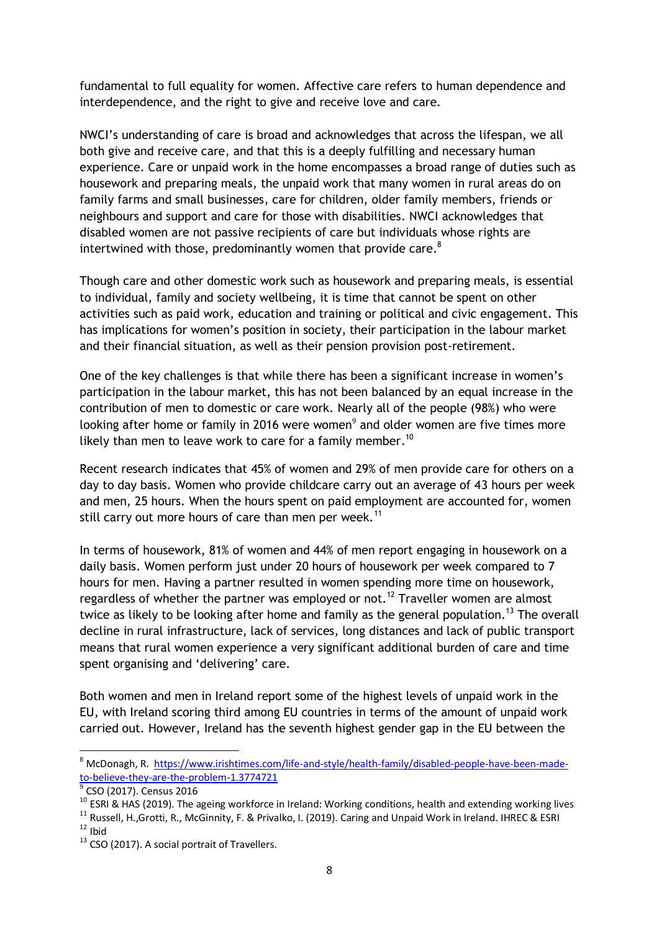fundamental to full equality for women. Affective care refers to human dependence and interdependence, and the right to give and receive love and care.

NWCI's understanding of care is broad and acknowledges that across the lifespan, we all both give and receive care, and that this is a deeply fulfilling and necessary human experience. Care or unpaid work in the home encompasses a broad range of duties such as housework and preparing meals, the unpaid work that many women in rural areas do on family farms and small businesses, care for children, older family members, friends or neighbours and support and care for those with disabilities. NWCI acknowledges that disabled women are not passive recipients of care but individuals whose rights are intertwined with those, predominantly women that provide care. $8<sup>8</sup>$ 

Though care and other domestic work such as housework and preparing meals, is essential to individual, family and society wellbeing, it is time that cannot be spent on other activities such as paid work, education and training or political and civic engagement. This has implications for women's position in society, their participation in the labour market and their financial situation, as well as their pension provision post-retirement.

One of the key challenges is that while there has been a significant increase in women's participation in the labour market, this has not been balanced by an equal increase in the contribution of men to domestic or care work. Nearly all of the people (98%) who were looking after home or family in 2016 were women $9$  and older women are five times more likely than men to leave work to care for a family member.<sup>10</sup>

Recent research indicates that 45% of women and 29% of men provide care for others on a day to day basis. Women who provide childcare carry out an average of 43 hours per week and men, 25 hours. When the hours spent on paid employment are accounted for, women still carry out more hours of care than men per week.<sup>11</sup>

In terms of housework, 81% of women and 44% of men report engaging in housework on a daily basis. Women perform just under 20 hours of housework per week compared to 7 hours for men. Having a partner resulted in women spending more time on housework, regardless of whether the partner was employed or not.<sup>12</sup> Traveller women are almost twice as likely to be looking after home and family as the general population.<sup>13</sup> The overall decline in rural infrastructure, lack of services, long distances and lack of public transport means that rural women experience a very significant additional burden of care and time spent organising and 'delivering' care.

Both women and men in Ireland report some of the highest levels of unpaid work in the EU, with Ireland scoring third among EU countries in terms of the amount of unpaid work carried out. However, Ireland has the seventh highest gender gap in the EU between the

<sup>&</sup>lt;sup>8</sup> McDonagh, R. [https://www.irishtimes.com/life-and-style/health-family/disabled-people-have-been-made](https://www.irishtimes.com/life-and-style/health-family/disabled-people-have-been-made-to-believe-they-are-the-problem-1.3774721)[to-believe-they-are-the-problem-1.3774721](https://www.irishtimes.com/life-and-style/health-family/disabled-people-have-been-made-to-believe-they-are-the-problem-1.3774721)

 $^9$  CSO (2017). Census 2016

 $10$  ESRI & HAS (2019). The ageing workforce in Ireland: Working conditions, health and extending working lives

<sup>&</sup>lt;sup>11</sup> Russell, H.,Grotti, R., McGinnity, F. & Privalko, I. (2019). Caring and Unpaid Work in Ireland. IHREC & ESRI

 $12$  Ibid

 $13$  CSO (2017). A social portrait of Travellers.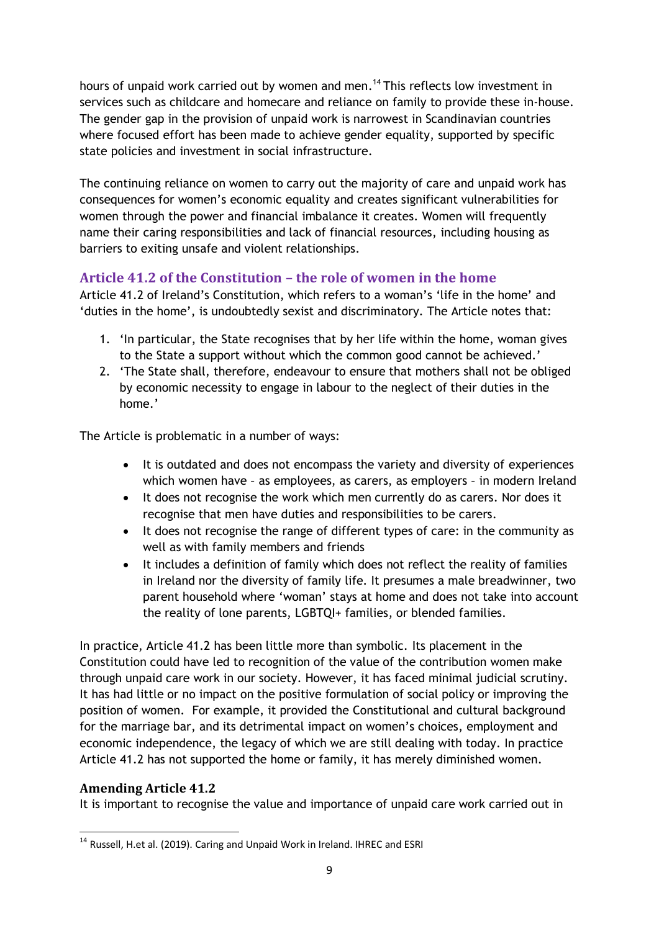hours of unpaid work carried out by women and men.<sup>14</sup> This reflects low investment in services such as childcare and homecare and reliance on family to provide these in-house. The gender gap in the provision of unpaid work is narrowest in Scandinavian countries where focused effort has been made to achieve gender equality, supported by specific state policies and investment in social infrastructure.

The continuing reliance on women to carry out the majority of care and unpaid work has consequences for women's economic equality and creates significant vulnerabilities for women through the power and financial imbalance it creates. Women will frequently name their caring responsibilities and lack of financial resources, including housing as barriers to exiting unsafe and violent relationships.

# **Article 41.2 of the Constitution – the role of women in the home**

Article 41.2 of Ireland's Constitution, which refers to a woman's 'life in the home' and 'duties in the home', is undoubtedly sexist and discriminatory. The Article notes that:

- 1. 'In particular, the State recognises that by her life within the home, woman gives to the State a support without which the common good cannot be achieved.'
- 2. 'The State shall, therefore, endeavour to ensure that mothers shall not be obliged by economic necessity to engage in labour to the neglect of their duties in the home.'

The Article is problematic in a number of ways:

- It is outdated and does not encompass the variety and diversity of experiences which women have – as employees, as carers, as employers – in modern Ireland
- It does not recognise the work which men currently do as carers. Nor does it recognise that men have duties and responsibilities to be carers.
- It does not recognise the range of different types of care: in the community as well as with family members and friends
- It includes a definition of family which does not reflect the reality of families in Ireland nor the diversity of family life. It presumes a male breadwinner, two parent household where 'woman' stays at home and does not take into account the reality of lone parents, LGBTQI+ families, or blended families.

In practice, Article 41.2 has been little more than symbolic. Its placement in the Constitution could have led to recognition of the value of the contribution women make through unpaid care work in our society. However, it has faced minimal judicial scrutiny. It has had little or no impact on the positive formulation of social policy or improving the position of women. For example, it provided the Constitutional and cultural background for the marriage bar, and its detrimental impact on women's choices, employment and economic independence, the legacy of which we are still dealing with today. In practice Article 41.2 has not supported the home or family, it has merely diminished women.

# **Amending Article 41.2**

It is important to recognise the value and importance of unpaid care work carried out in

**<sup>.</sup>** <sup>14</sup> Russell, H.et al. (2019). Caring and Unpaid Work in Ireland. IHREC and ESRI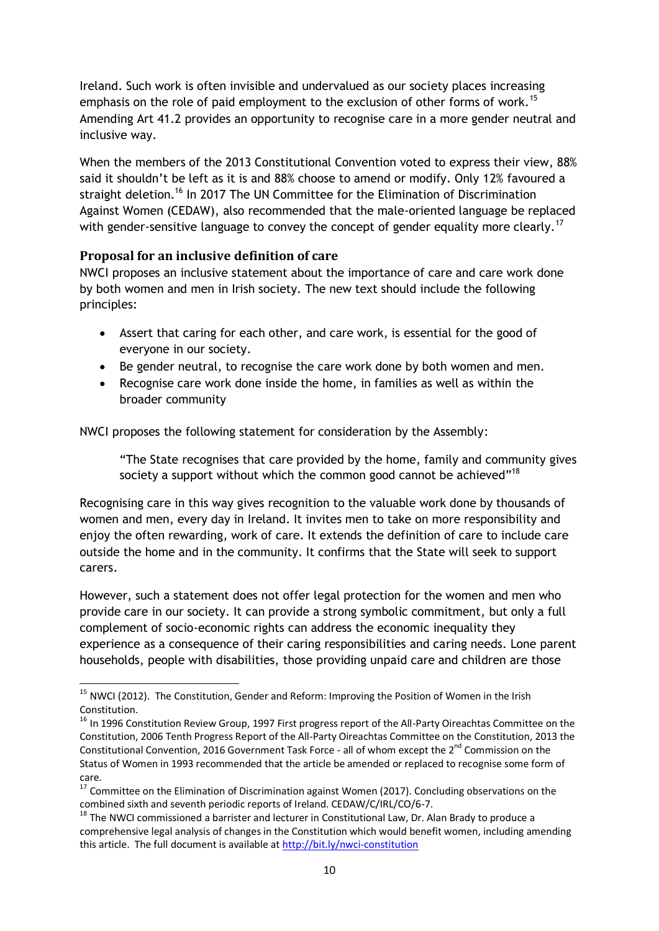Ireland. Such work is often invisible and undervalued as our society places increasing emphasis on the role of paid employment to the exclusion of other forms of work.<sup>15</sup> Amending Art 41.2 provides an opportunity to recognise care in a more gender neutral and inclusive way.

When the members of the 2013 Constitutional Convention voted to express their view, 88% said it shouldn't be left as it is and 88% choose to amend or modify. Only 12% favoured a straight deletion.<sup>16</sup> In 2017 The UN Committee for the Elimination of Discrimination Against Women (CEDAW), also recommended that the male-oriented language be replaced with gender-sensitive language to convey the concept of gender equality more clearly.<sup>17</sup>

#### **Proposal for an inclusive definition of care**

NWCI proposes an inclusive statement about the importance of care and care work done by both women and men in Irish society. The new text should include the following principles:

- Assert that caring for each other, and care work, is essential for the good of everyone in our society.
- Be gender neutral, to recognise the care work done by both women and men.
- Recognise care work done inside the home, in families as well as within the broader community

NWCI proposes the following statement for consideration by the Assembly:

"The State recognises that care provided by the home, family and community gives society a support without which the common good cannot be achieved"<sup>18</sup>

Recognising care in this way gives recognition to the valuable work done by thousands of women and men, every day in Ireland. It invites men to take on more responsibility and enjoy the often rewarding, work of care. It extends the definition of care to include care outside the home and in the community. It confirms that the State will seek to support carers.

However, such a statement does not offer legal protection for the women and men who provide care in our society. It can provide a strong symbolic commitment, but only a full complement of socio-economic rights can address the economic inequality they experience as a consequence of their caring responsibilities and caring needs. Lone parent households, people with disabilities, those providing unpaid care and children are those

**<sup>.</sup>** <sup>15</sup> NWCI (2012). The Constitution, Gender and Reform: Improving the Position of Women in the Irish Constitution.

<sup>&</sup>lt;sup>16</sup> In 1996 Constitution Review Group, 1997 First progress report of the All-Party Oireachtas Committee on the Constitution, 2006 Tenth Progress Report of the All-Party Oireachtas Committee on the Constitution, 2013 the Constitutional Convention, 2016 Government Task Force - all of whom except the 2<sup>nd</sup> Commission on the Status of Women in 1993 recommended that the article be amended or replaced to recognise some form of care.

<sup>&</sup>lt;sup>17</sup> Committee on the Elimination of Discrimination against Women (2017). Concluding observations on the combined sixth and seventh periodic reports of Ireland. CEDAW/C/IRL/CO/6-7.

 $18$  The NWCI commissioned a barrister and lecturer in Constitutional Law, Dr. Alan Brady to produce a comprehensive legal analysis of changes in the Constitution which would benefit women, including amending this article. The full document is available at<http://bit.ly/nwci-constitution>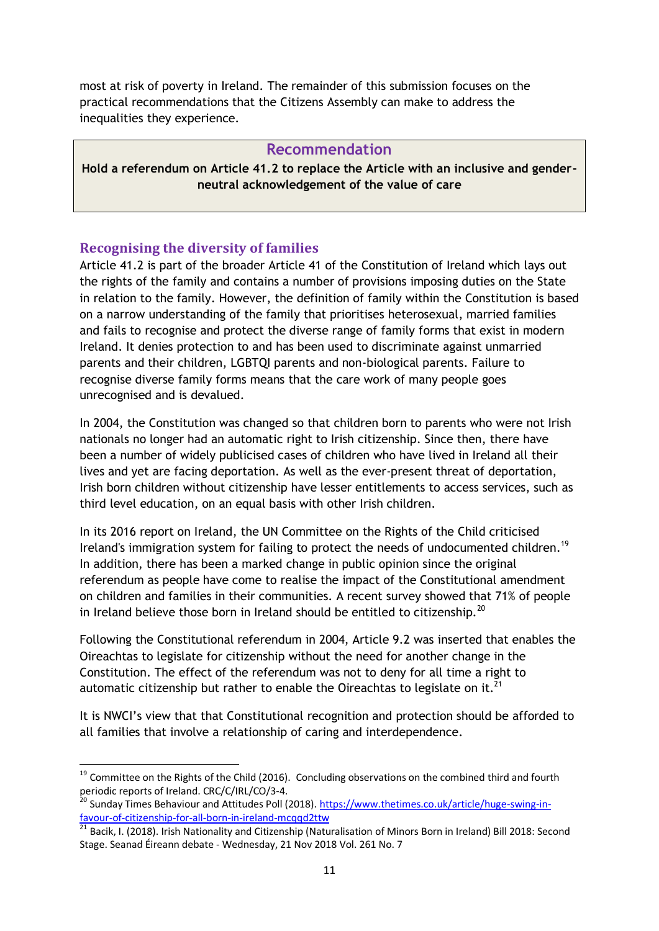most at risk of poverty in Ireland. The remainder of this submission focuses on the practical recommendations that the Citizens Assembly can make to address the inequalities they experience.

#### **Recommendation**

**Hold a referendum on Article 41.2 to replace the Article with an inclusive and genderneutral acknowledgement of the value of care**

#### **Recognising the diversity of families**

1

Article 41.2 is part of the broader Article 41 of the Constitution of Ireland which lays out the rights of the family and contains a number of provisions imposing duties on the State in relation to the family. However, the definition of family within the Constitution is based on a narrow understanding of the family that prioritises heterosexual, married families and fails to recognise and protect the diverse range of family forms that exist in modern Ireland. It denies protection to and has been used to discriminate against unmarried parents and their children, LGBTQI parents and non-biological parents. Failure to recognise diverse family forms means that the care work of many people goes unrecognised and is devalued.

In 2004, the Constitution was changed so that children born to parents who were not Irish nationals no longer had an automatic right to Irish citizenship. Since then, there have been a number of widely publicised cases of children who have lived in Ireland all their lives and yet are facing deportation. As well as the ever-present threat of deportation, Irish born children without citizenship have lesser entitlements to access services, such as third level education, on an equal basis with other Irish children.

In its 2016 report on Ireland, the UN Committee on the Rights of the Child criticised Ireland's immigration system for failing to protect the needs of undocumented children.<sup>19</sup> In addition, there has been a marked change in public opinion since the original referendum as people have come to realise the impact of the Constitutional amendment on children and families in their communities. A recent survey showed that 71% of people in Ireland believe those born in Ireland should be entitled to citizenship.<sup>20</sup>

Following the Constitutional referendum in 2004, Article 9.2 was inserted that enables the Oireachtas to legislate for citizenship without the need for another change in the Constitution. The effect of the referendum was not to deny for all time a right to automatic citizenship but rather to enable the Oireachtas to legislate on it.<sup>21</sup>

It is NWCI's view that that Constitutional recognition and protection should be afforded to all families that involve a relationship of caring and interdependence.

<sup>&</sup>lt;sup>19</sup> Committee on the Rights of the Child (2016). Concluding observations on the combined third and fourth periodic reports of Ireland. CRC/C/IRL/CO/3-4.

<sup>&</sup>lt;sup>20</sup> Sunday Times Behaviour and Attitudes Poll (2018)[. https://www.thetimes.co.uk/article/huge-swing-in](https://www.thetimes.co.uk/article/huge-swing-in-favour-of-citizenship-for-all-born-in-ireland-mcqqd2ttw)[favour-of-citizenship-for-all-born-in-ireland-mcqqd2ttw](https://www.thetimes.co.uk/article/huge-swing-in-favour-of-citizenship-for-all-born-in-ireland-mcqqd2ttw)

<sup>&</sup>lt;sup>21</sup> Bacik, I. (2018). Irish Nationality and Citizenship (Naturalisation of Minors Born in Ireland) Bill 2018: Second Stage. Seanad Éireann debate - Wednesday, 21 Nov 2018 Vol. 261 No. 7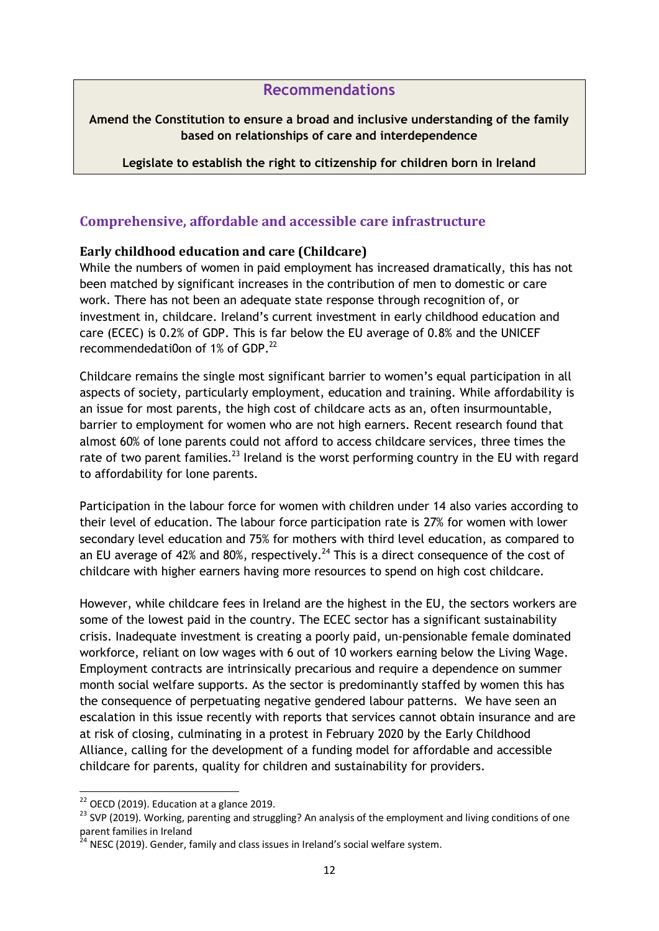### **Recommendations**

#### **Amend the Constitution to ensure a broad and inclusive understanding of the family based on relationships of care and interdependence**

**Legislate to establish the right to citizenship for children born in Ireland**

### **Comprehensive, affordable and accessible care infrastructure**

#### **Early childhood education and care (Childcare)**

While the numbers of women in paid employment has increased dramatically, this has not been matched by significant increases in the contribution of men to domestic or care work. There has not been an adequate state response through recognition of, or investment in, childcare. Ireland's current investment in early childhood education and care (ECEC) is 0.2% of GDP. This is far below the EU average of 0.8% and the UNICEF recommendedati0on of  $1\%$  of GDP.<sup>22</sup>

Childcare remains the single most significant barrier to women's equal participation in all aspects of society, particularly employment, education and training. While affordability is an issue for most parents, the high cost of childcare acts as an, often insurmountable, barrier to employment for women who are not high earners. Recent research found that almost 60% of lone parents could not afford to access childcare services, three times the rate of two parent families.<sup>23</sup> Ireland is the worst performing country in the EU with regard to affordability for lone parents.

Participation in the labour force for women with children under 14 also varies according to their level of education. The labour force participation rate is 27% for women with lower secondary level education and 75% for mothers with third level education, as compared to an EU average of 42% and 80%, respectively.<sup>24</sup> This is a direct consequence of the cost of childcare with higher earners having more resources to spend on high cost childcare.

However, while childcare fees in Ireland are the highest in the EU, the sectors workers are some of the lowest paid in the country. The ECEC sector has a significant sustainability crisis. Inadequate investment is creating a poorly paid, un-pensionable female dominated workforce, reliant on low wages with 6 out of 10 workers earning below the Living Wage. Employment contracts are intrinsically precarious and require a dependence on summer month social welfare supports. As the sector is predominantly staffed by women this has the consequence of perpetuating negative gendered labour patterns. We have seen an escalation in this issue recently with reports that services cannot obtain insurance and are at risk of closing, culminating in a protest in February 2020 by the Early Childhood Alliance, calling for the development of a funding model for affordable and accessible childcare for parents, quality for children and sustainability for providers.

 $22$  OECD (2019). Education at a glance 2019.

<sup>&</sup>lt;sup>23</sup> SVP (2019). Working, parenting and struggling? An analysis of the employment and living conditions of one parent families in Ireland

 $^{24}$  NESC (2019). Gender, family and class issues in Ireland's social welfare system.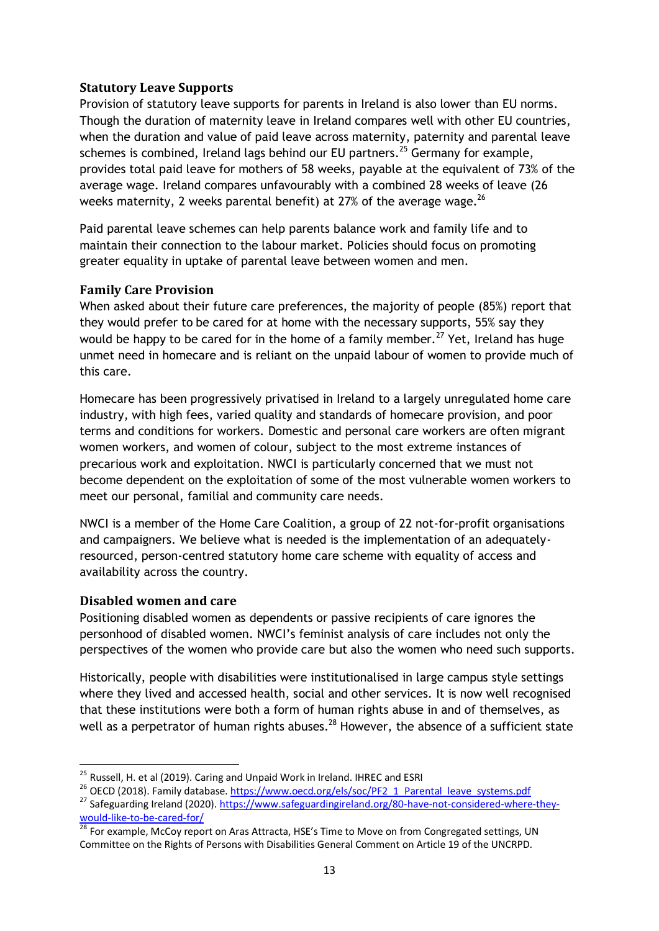#### **Statutory Leave Supports**

Provision of statutory leave supports for parents in Ireland is also lower than EU norms. Though the duration of maternity leave in Ireland compares well with other EU countries, when the duration and value of paid leave across maternity, paternity and parental leave schemes is combined, Ireland lags behind our EU partners.<sup>25</sup> Germany for example, provides total paid leave for mothers of 58 weeks, payable at the equivalent of 73% of the average wage. Ireland compares unfavourably with a combined 28 weeks of leave (26 weeks maternity, 2 weeks parental benefit) at 27% of the average wage. $^{26}$ 

Paid parental leave schemes can help parents balance work and family life and to maintain their connection to the labour market. Policies should focus on promoting greater equality in uptake of parental leave between women and men.

#### **Family Care Provision**

When asked about their future care preferences, the majority of people (85%) report that they would prefer to be cared for at home with the necessary supports, 55% say they would be happy to be cared for in the home of a family member.<sup>27</sup> Yet, Ireland has huge unmet need in homecare and is reliant on the unpaid labour of women to provide much of this care.

Homecare has been progressively privatised in Ireland to a largely unregulated home care industry, with high fees, varied quality and standards of homecare provision, and poor terms and conditions for workers. Domestic and personal care workers are often migrant women workers, and women of colour, subject to the most extreme instances of precarious work and exploitation. NWCI is particularly concerned that we must not become dependent on the exploitation of some of the most vulnerable women workers to meet our personal, familial and community care needs.

NWCI is a member of the Home Care Coalition, a group of 22 not-for-profit organisations and campaigners. We believe what is needed is the implementation of an adequatelyresourced, person-centred statutory home care scheme with equality of access and availability across the country.

#### **Disabled women and care**

1

Positioning disabled women as dependents or passive recipients of care ignores the personhood of disabled women. NWCI's feminist analysis of care includes not only the perspectives of the women who provide care but also the women who need such supports.

Historically, people with disabilities were institutionalised in large campus style settings where they lived and accessed health, social and other services. It is now well recognised that these institutions were both a form of human rights abuse in and of themselves, as well as a perpetrator of human rights abuses.<sup>28</sup> However, the absence of a sufficient state

<sup>&</sup>lt;sup>25</sup> Russell, H. et al (2019). Caring and Unpaid Work in Ireland. IHREC and ESRI

<sup>&</sup>lt;sup>26</sup> OECD (2018). Family database. [https://www.oecd.org/els/soc/PF2\\_1\\_Parental\\_leave\\_systems.pdf](https://www.oecd.org/els/soc/PF2_1_Parental_leave_systems.pdf)

<sup>&</sup>lt;sup>27</sup> Safeguarding Ireland (2020)[. https://www.safeguardingireland.org/80-have-not-considered-where-they](https://www.safeguardingireland.org/80-have-not-considered-where-they-would-like-to-be-cared-for/)[would-like-to-be-cared-for/](https://www.safeguardingireland.org/80-have-not-considered-where-they-would-like-to-be-cared-for/)

<sup>&</sup>lt;sup>28</sup> For example, McCoy report on Aras Attracta, HSE's Time to Move on from Congregated settings, UN Committee on the Rights of Persons with Disabilities General Comment on Article 19 of the UNCRPD.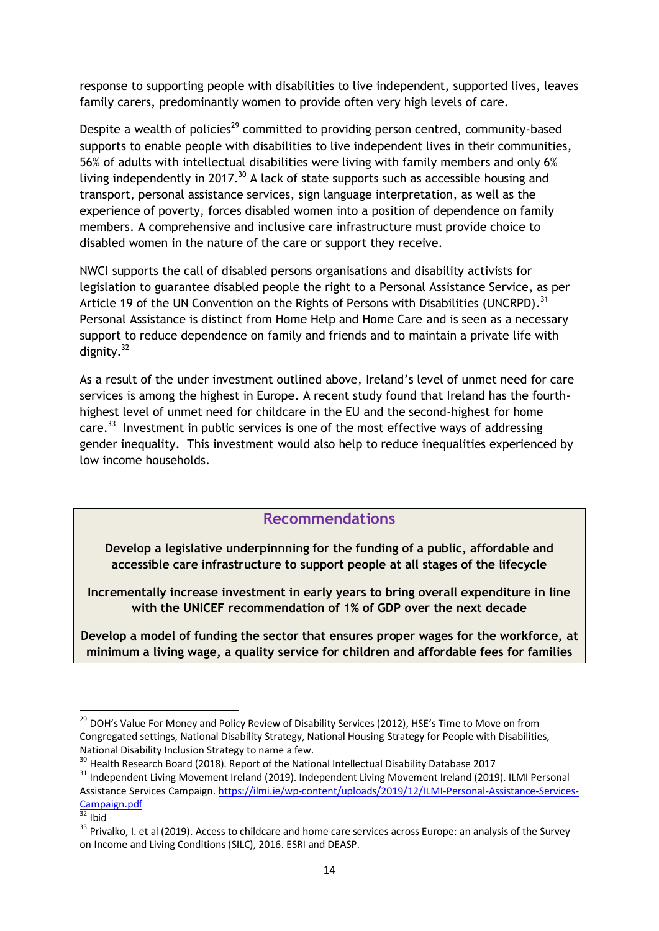response to supporting people with disabilities to live independent, supported lives, leaves family carers, predominantly women to provide often very high levels of care.

Despite a wealth of policies<sup>29</sup> committed to providing person centred, community-based supports to enable people with disabilities to live independent lives in their communities, 56% of adults with intellectual disabilities were living with family members and only 6% living independently in 2017.<sup>30</sup> A lack of state supports such as accessible housing and transport, personal assistance services, sign language interpretation, as well as the experience of poverty, forces disabled women into a position of dependence on family members. A comprehensive and inclusive care infrastructure must provide choice to disabled women in the nature of the care or support they receive.

NWCI supports the call of disabled persons organisations and disability activists for legislation to guarantee disabled people the right to a Personal Assistance Service, as per Article 19 of the UN Convention on the Rights of Persons with Disabilities (UNCRPD).<sup>31</sup> Personal Assistance is distinct from Home Help and Home Care and is seen as a necessary support to reduce dependence on family and friends and to maintain a private life with dignity.<sup>32</sup>

As a result of the under investment outlined above, Ireland's level of unmet need for care services is among the highest in Europe. A recent study found that Ireland has the fourthhighest level of unmet need for childcare in the EU and the second-highest for home care.<sup>33</sup> Investment in public services is one of the most effective ways of addressing gender inequality. This investment would also help to reduce inequalities experienced by low income households.

# **Recommendations**

**Develop a legislative underpinnning for the funding of a public, affordable and accessible care infrastructure to support people at all stages of the lifecycle**

**Incrementally increase investment in early years to bring overall expenditure in line with the UNICEF recommendation of 1% of GDP over the next decade**

**Develop a model of funding the sector that ensures proper wages for the workforce, at minimum a living wage, a quality service for children and affordable fees for families**

<sup>&</sup>lt;sup>29</sup> DOH's Value For Money and Policy Review of Disability Services (2012), HSE's Time to Move on from Congregated settings, National Disability Strategy, National Housing Strategy for People with Disabilities, National Disability Inclusion Strategy to name a few.

<sup>&</sup>lt;sup>30</sup> Health Research Board (2018). Report of the National Intellectual Disability Database 2017

<sup>&</sup>lt;sup>31</sup> Independent Living Movement Ireland (2019). Independent Living Movement Ireland (2019). ILMI Personal Assistance Services Campaign. [https://ilmi.ie/wp-content/uploads/2019/12/ILMI-Personal-Assistance-Services-](https://ilmi.ie/wp-content/uploads/2019/12/ILMI-Personal-Assistance-Services-Campaign.pdf)[Campaign.pdf](https://ilmi.ie/wp-content/uploads/2019/12/ILMI-Personal-Assistance-Services-Campaign.pdf)

 $\frac{1}{32}$  Ibid

<sup>&</sup>lt;sup>33</sup> Privalko, I. et al (2019). Access to childcare and home care services across Europe: an analysis of the Survey on Income and Living Conditions (SILC), 2016. ESRI and DEASP.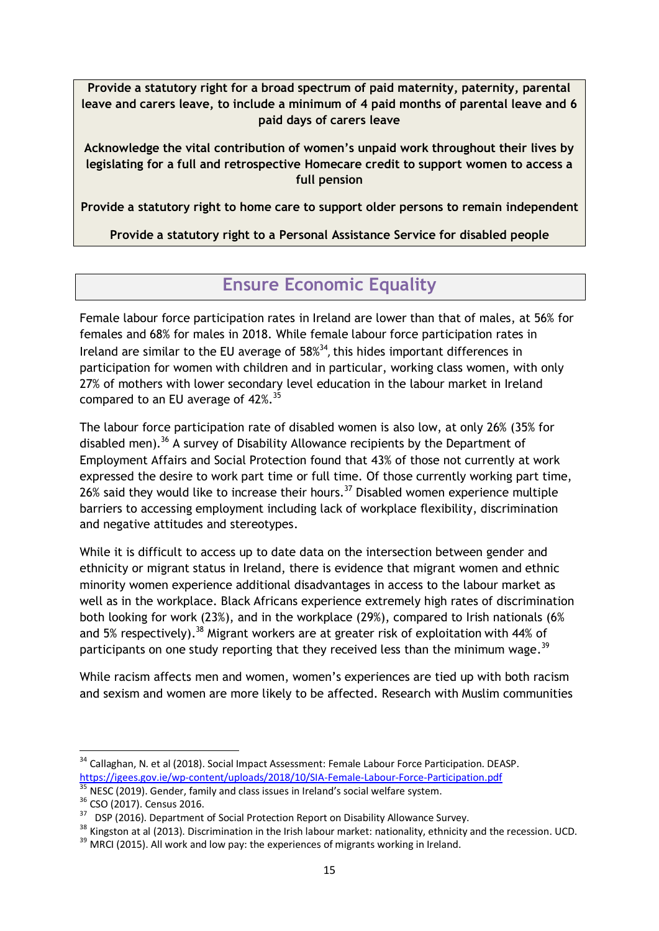**Provide a statutory right for a broad spectrum of paid maternity, paternity, parental leave and carers leave, to include a minimum of 4 paid months of parental leave and 6 paid days of carers leave**

**Acknowledge the vital contribution of women's unpaid work throughout their lives by legislating for a full and retrospective Homecare credit to support women to access a full pension**

**Provide a statutory right to home care to support older persons to remain independent**

**Provide a statutory right to a Personal Assistance Service for disabled people**

# **Ensure Economic Equality**

Female labour force participation rates in Ireland are lower than that of males, at 56% for females and 68% for males in 2018. While female labour force participation rates in Ireland are similar to the EU average of 58% 34 , this hides important differences in participation for women with children and in particular, working class women, with only 27% of mothers with lower secondary level education in the labour market in Ireland compared to an EU average of  $42\%$ <sup>35</sup>

The labour force participation rate of disabled women is also low, at only 26% (35% for disabled men).<sup>36</sup> A survey of Disability Allowance recipients by the Department of Employment Affairs and Social Protection found that 43% of those not currently at work expressed the desire to work part time or full time. Of those currently working part time,  $26\%$  said they would like to increase their hours.<sup>37</sup> Disabled women experience multiple barriers to accessing employment including lack of workplace flexibility, discrimination and negative attitudes and stereotypes.

While it is difficult to access up to date data on the intersection between gender and ethnicity or migrant status in Ireland, there is evidence that migrant women and ethnic minority women experience additional disadvantages in access to the labour market as well as in the workplace. Black Africans experience extremely high rates of discrimination both looking for work (23%), and in the workplace (29%), compared to Irish nationals (6% and 5% respectively).<sup>38</sup> Migrant workers are at greater risk of exploitation with 44% of participants on one study reporting that they received less than the minimum wage.<sup>39</sup>

While racism affects men and women, women's experiences are tied up with both racism and sexism and women are more likely to be affected. Research with Muslim communities

<sup>&</sup>lt;sup>34</sup> Callaghan, N. et al (2018). Social Impact Assessment: Female Labour Force Participation. DEASP. <https://igees.gov.ie/wp-content/uploads/2018/10/SIA-Female-Labour-Force-Participation.pdf>

 $35$  NESC (2019). Gender, family and class issues in Ireland's social welfare system.

<sup>36</sup> CSO (2017). Census 2016.

<sup>&</sup>lt;sup>37</sup> DSP (2016). Department of Social Protection Report on Disability Allowance Survey.

<sup>&</sup>lt;sup>38</sup> Kingston at al (2013). Discrimination in the Irish labour market: nationality, ethnicity and the recession. UCD.

 $39$  MRCI (2015). All work and low pay: the experiences of migrants working in Ireland.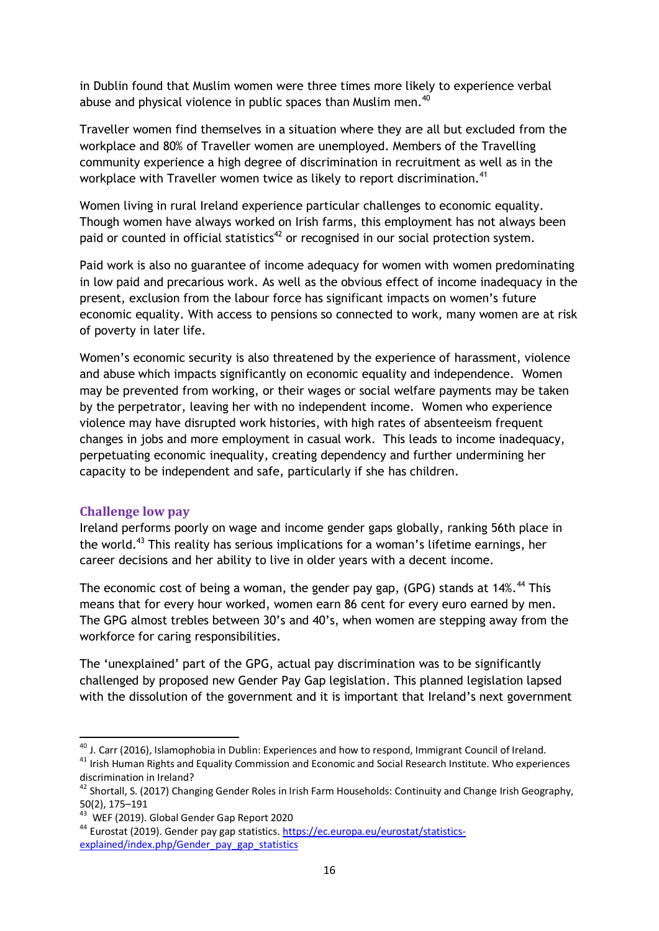in Dublin found that Muslim women were three times more likely to experience verbal abuse and physical violence in public spaces than Muslim men.<sup>40</sup>

Traveller women find themselves in a situation where they are all but excluded from the workplace and 80% of Traveller women are unemployed. Members of the Travelling community experience a high degree of discrimination in recruitment as well as in the workplace with Traveller women twice as likely to report discrimination.<sup>41</sup>

Women living in rural Ireland experience particular challenges to economic equality. Though women have always worked on Irish farms, this employment has not always been paid or counted in official statistics<sup>42</sup> or recognised in our social protection system.

Paid work is also no guarantee of income adequacy for women with women predominating in low paid and precarious work. As well as the obvious effect of income inadequacy in the present, exclusion from the labour force has significant impacts on women's future economic equality. With access to pensions so connected to work, many women are at risk of poverty in later life.

Women's economic security is also threatened by the experience of harassment, violence and abuse which impacts significantly on economic equality and independence. Women may be prevented from working, or their wages or social welfare payments may be taken by the perpetrator, leaving her with no independent income. Women who experience violence may have disrupted work histories, with high rates of absenteeism frequent changes in jobs and more employment in casual work. This leads to income inadequacy, perpetuating economic inequality, creating dependency and further undermining her capacity to be independent and safe, particularly if she has children.

#### **Challenge low pay**

**.** 

Ireland performs poorly on wage and income gender gaps globally, ranking 56th place in the world.<sup>43</sup> This reality has serious implications for a woman's lifetime earnings, her career decisions and her ability to live in older years with a decent income.

The economic cost of being a woman, the gender pay gap, (GPG) stands at  $14\%$ . <sup>44</sup> This means that for every hour worked, women earn 86 cent for every euro earned by men. The GPG almost trebles between 30's and 40's, when women are stepping away from the workforce for caring responsibilities.

The 'unexplained' part of the GPG, actual pay discrimination was to be significantly challenged by proposed new Gender Pay Gap legislation. This planned legislation lapsed with the dissolution of the government and it is important that Ireland's next government

 $^{40}$  J. Carr (2016), Islamophobia in Dublin: Experiences and how to respond, Immigrant Council of Ireland.

<sup>&</sup>lt;sup>41</sup> Irish Human Rights and Equality Commission and Economic and Social Research Institute. Who experiences discrimination in Ireland?

<sup>&</sup>lt;sup>42</sup> Shortall, S. (2017) Changing Gender Roles in Irish Farm Households: Continuity and Change Irish Geography, 50(2), 175–191

<sup>&</sup>lt;sup>43</sup> WEF (2019). Global Gender Gap Report 2020

<sup>&</sup>lt;sup>44</sup> Eurostat (2019). Gender pay gap statistics[. https://ec.europa.eu/eurostat/statistics](https://ec.europa.eu/eurostat/statistics-explained/index.php/Gender_pay_gap_statistics)[explained/index.php/Gender\\_pay\\_gap\\_statistics](https://ec.europa.eu/eurostat/statistics-explained/index.php/Gender_pay_gap_statistics)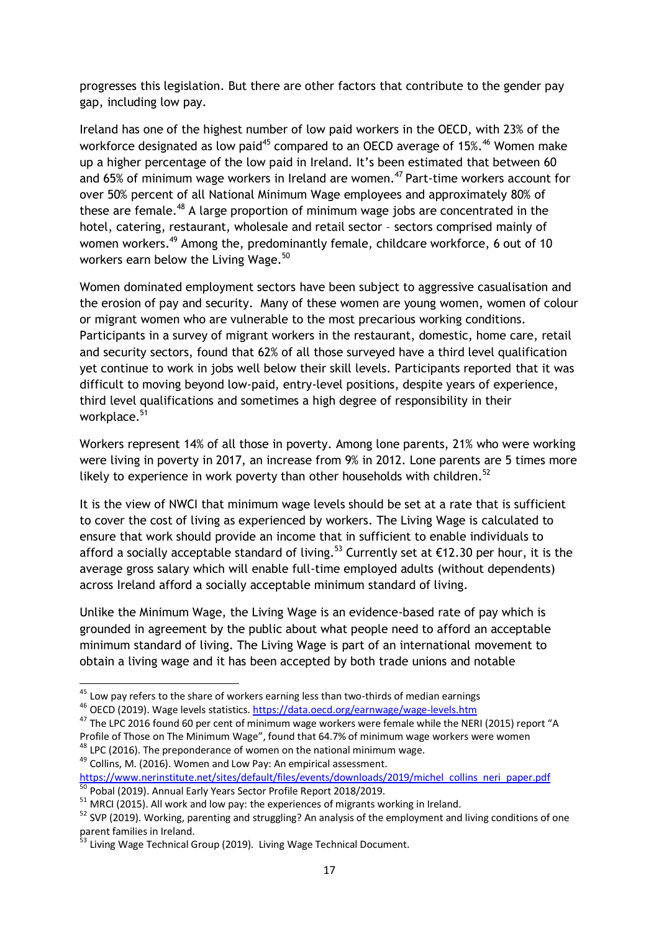progresses this legislation. But there are other factors that contribute to the gender pay gap, including low pay.

Ireland has one of the highest number of low paid workers in the OECD, with 23% of the workforce designated as low paid<sup>45</sup> compared to an OECD average of 15%.<sup>46</sup> Women make up a higher percentage of the low paid in Ireland. It's been estimated that between 60 and  $65\%$  of minimum wage workers in Ireland are women.<sup>47</sup> Part-time workers account for over 50% percent of all National Minimum Wage employees and approximately 80% of these are female.<sup>48</sup> A large proportion of minimum wage jobs are concentrated in the hotel, catering, restaurant, wholesale and retail sector – sectors comprised mainly of women workers.<sup>49</sup> Among the, predominantly female, childcare workforce, 6 out of 10 workers earn below the Living Wage.<sup>50</sup>

Women dominated employment sectors have been subject to aggressive casualisation and the erosion of pay and security. Many of these women are young women, women of colour or migrant women who are vulnerable to the most precarious working conditions. Participants in a survey of migrant workers in the restaurant, domestic, home care, retail and security sectors, found that 62% of all those surveyed have a third level qualification yet continue to work in jobs well below their skill levels. Participants reported that it was difficult to moving beyond low-paid, entry-level positions, despite years of experience, third level qualifications and sometimes a high degree of responsibility in their workplace.<sup>51</sup>

Workers represent 14% of all those in poverty. Among lone parents, 21% who were working were living in poverty in 2017, an increase from 9% in 2012. Lone parents are 5 times more likely to experience in work poverty than other households with children. $52$ 

It is the view of NWCI that minimum wage levels should be set at a rate that is sufficient to cover the cost of living as experienced by workers. The Living Wage is calculated to ensure that work should provide an income that in sufficient to enable individuals to afford a socially acceptable standard of living.<sup>53</sup> Currently set at  $\epsilon$ 12.30 per hour, it is the average gross salary which will enable full-time employed adults (without dependents) across Ireland afford a socially acceptable minimum standard of living.

Unlike the Minimum Wage, the Living Wage is an evidence-based rate of pay which is grounded in agreement by the public about what people need to afford an acceptable minimum standard of living. The Living Wage is part of an international movement to obtain a living wage and it has been accepted by both trade unions and notable

<sup>46</sup> OECD (2019). Wage levels statistics[. https://data.oecd.org/earnwage/wage-levels.htm](https://data.oecd.org/earnwage/wage-levels.htm)

**<sup>.</sup>**  $45$  Low pay refers to the share of workers earning less than two-thirds of median earnings

<sup>47</sup> The LPC 2016 found 60 per cent of minimum wage workers were female while the NERI (2015) report "A Profile of Those on The Minimum Wage", found that 64.7% of minimum wage workers were women

 $48$  LPC (2016). The preponderance of women on the national minimum wage.

<sup>&</sup>lt;sup>49</sup> Collins, M. (2016). Women and Low Pay: An empirical assessment. https://www.nerinstitute.net/sites/default/files/events/downloads/2019/michel\_collins\_neri\_paper.pdf

<sup>50</sup> Pobal (2019). Annual Early Years Sector Profile Report 2018/2019.

 $51$  MRCI (2015). All work and low pay: the experiences of migrants working in Ireland.

<sup>&</sup>lt;sup>52</sup> SVP (2019). Working, parenting and struggling? An analysis of the employment and living conditions of one parent families in Ireland.

<sup>&</sup>lt;sup>53</sup> Living Wage Technical Group (2019). Living Wage Technical Document.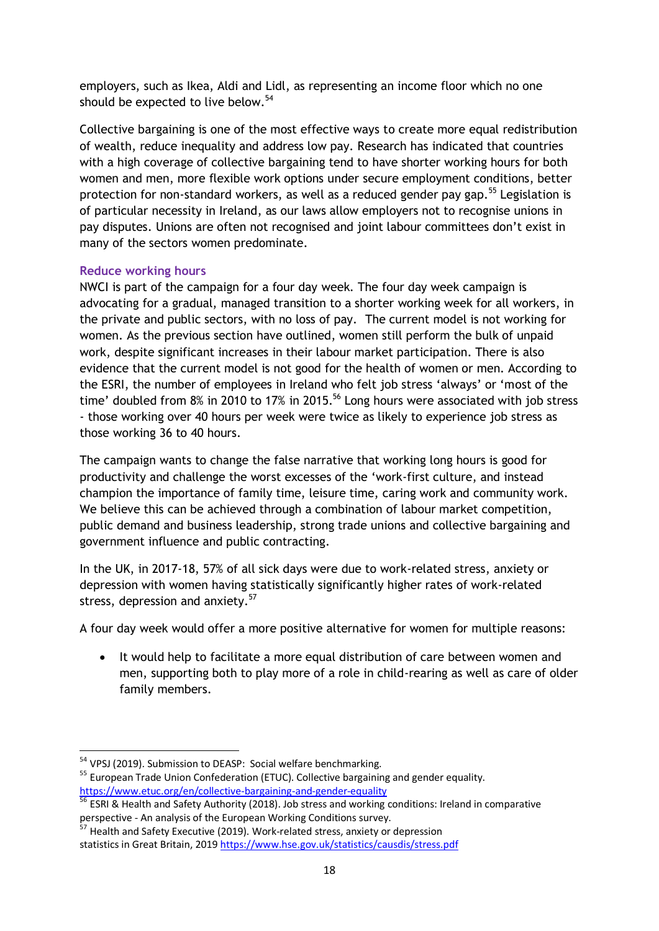employers, such as Ikea, Aldi and Lidl, as representing an income floor which no one should be expected to live below. $54$ 

Collective bargaining is one of the most effective ways to create more equal redistribution of wealth, reduce inequality and address low pay. Research has indicated that countries with a high coverage of collective bargaining tend to have shorter working hours for both women and men, more flexible work options under secure employment conditions, better protection for non-standard workers, as well as a reduced gender pay gap.<sup>55</sup> Legislation is of particular necessity in Ireland, as our laws allow employers not to recognise unions in pay disputes. Unions are often not recognised and joint labour committees don't exist in many of the sectors women predominate.

#### **Reduce working hours**

NWCI is part of the campaign for a four day week. The four day week campaign is advocating for a gradual, managed transition to a shorter working week for all workers, in the private and public sectors, with no loss of pay. The current model is not working for women. As the previous section have outlined, women still perform the bulk of unpaid work, despite significant increases in their labour market participation. There is also evidence that the current model is not good for the health of women or men. According to the ESRI, the number of employees in Ireland who felt job stress 'always' or 'most of the time' doubled from 8% in 2010 to 17% in 2015.<sup>56</sup> Long hours were associated with job stress - those working over 40 hours per week were twice as likely to experience job stress as those working 36 to 40 hours.

The campaign wants to change the false narrative that working long hours is good for productivity and challenge the worst excesses of the 'work-first culture, and instead champion the importance of family time, leisure time, caring work and community work. We believe this can be achieved through a combination of labour market competition, public demand and business leadership, strong trade unions and collective bargaining and government influence and public contracting.

In the UK, in 2017-18, 57% of all sick days were due to work-related stress, anxiety or depression with women having statistically significantly higher rates of work-related stress, depression and anxiety.<sup>57</sup>

A four day week would offer a more positive alternative for women for multiple reasons:

 It would help to facilitate a more equal distribution of care between women and men, supporting both to play more of a role in child-rearing as well as care of older family members.

<sup>&</sup>lt;sup>54</sup> VPSJ (2019). Submission to DEASP: Social welfare benchmarking.

<sup>&</sup>lt;sup>55</sup> European Trade Union Confederation (ETUC). Collective bargaining and gender equality. <https://www.etuc.org/en/collective-bargaining-and-gender-equality>

<sup>&</sup>lt;sup>56</sup> ESRI & Health and Safety Authority (2018). Job stress and working conditions: Ireland in comparative perspective - An analysis of the European Working Conditions survey.

 $^7$  Health and Safety Executive (2019). Work-related stress, anxiety or depression statistics in Great Britain, 2019<https://www.hse.gov.uk/statistics/causdis/stress.pdf>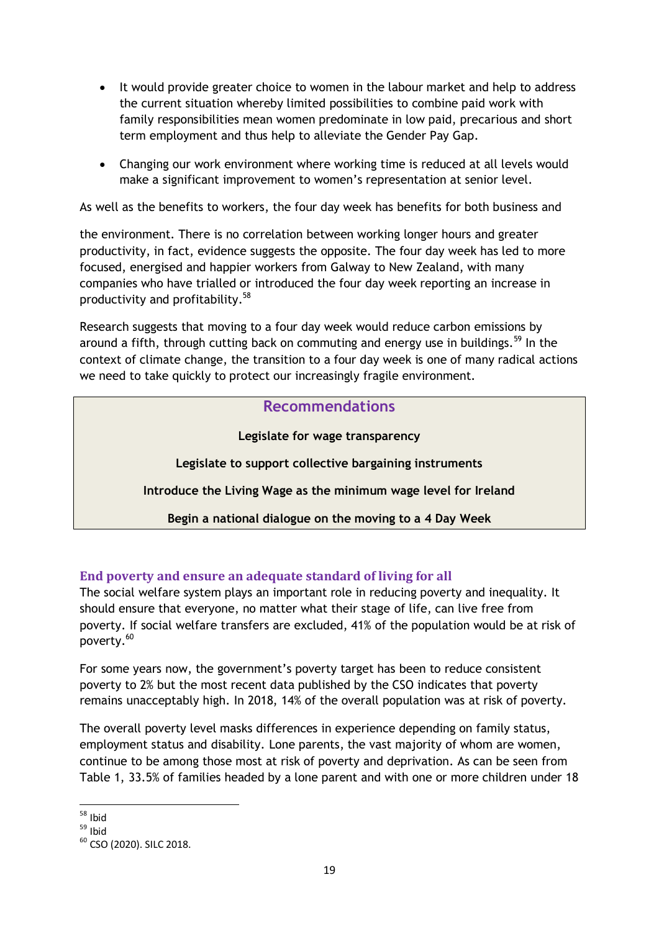- It would provide greater choice to women in the labour market and help to address the current situation whereby limited possibilities to combine paid work with family responsibilities mean women predominate in low paid, precarious and short term employment and thus help to alleviate the Gender Pay Gap.
- Changing our work environment where working time is reduced at all levels would make a significant improvement to women's representation at senior level.

As well as the benefits to workers, the four day week has benefits for both business and

the environment. There is no correlation between working longer hours and greater productivity, in fact, evidence suggests the opposite. The four day week has led to more focused, energised and happier workers from Galway to New Zealand, with many companies who have trialled or introduced the four day week reporting an increase in productivity and profitability. $58$ 

Research suggests that moving to a four day week would reduce carbon emissions by around a fifth, through cutting back on commuting and energy use in buildings.<sup>59</sup> In the context of climate change, the transition to a four day week is one of many radical actions we need to take quickly to protect our increasingly fragile environment.

# **Recommendations**

**Legislate for wage transparency**

**Legislate to support collective bargaining instruments**

**Introduce the Living Wage as the minimum wage level for Ireland**

**Begin a national dialogue on the moving to a 4 Day Week**

#### **End poverty and ensure an adequate standard of living for all**

The social welfare system plays an important role in reducing poverty and inequality. It should ensure that everyone, no matter what their stage of life, can live free from poverty. If social welfare transfers are excluded, 41% of the population would be at risk of poverty.<sup>60</sup>

For some years now, the government's poverty target has been to reduce consistent poverty to 2% but the most recent data published by the CSO indicates that poverty remains unacceptably high. In 2018, 14% of the overall population was at risk of poverty.

The overall poverty level masks differences in experience depending on family status, employment status and disability. Lone parents, the vast majority of whom are women, continue to be among those most at risk of poverty and deprivation. As can be seen from Table 1, 33.5% of families headed by a lone parent and with one or more children under 18

<sup>-</sup><sup>58</sup> Ibid

 $59$  Ibid

<sup>&</sup>lt;sup>60</sup> CSO (2020). SILC 2018.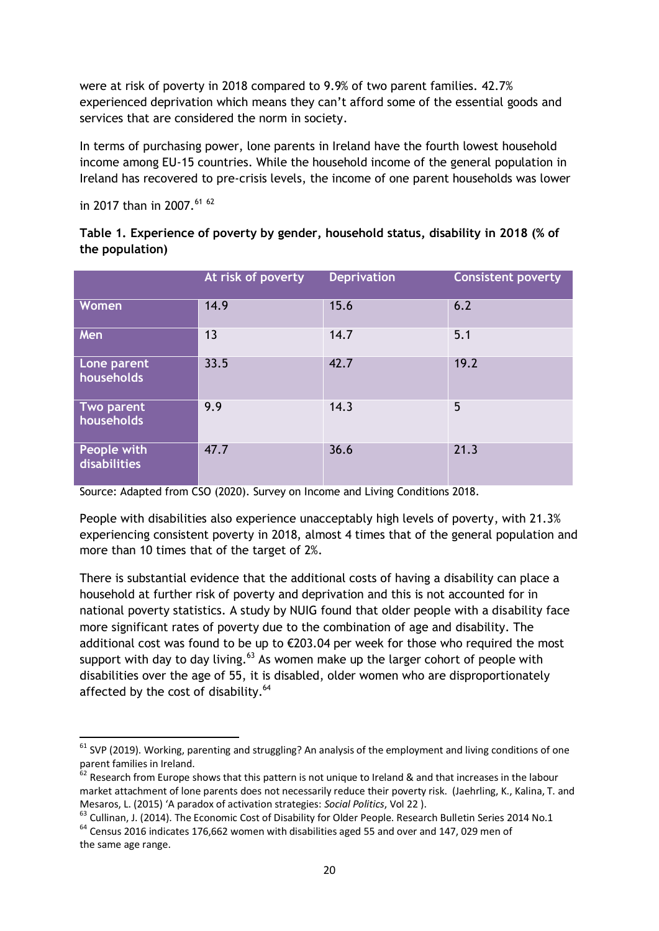were at risk of poverty in 2018 compared to 9.9% of two parent families. 42.7% experienced deprivation which means they can't afford some of the essential goods and services that are considered the norm in society.

In terms of purchasing power, lone parents in Ireland have the fourth lowest household income among EU-15 countries. While the household income of the general population in Ireland has recovered to pre-crisis levels, the income of one parent households was lower

in 2017 than in 2007.<sup>61 62</sup>

| Table 1. Experience of poverty by gender, household status, disability in 2018 (% of |  |  |
|--------------------------------------------------------------------------------------|--|--|
| the population)                                                                      |  |  |

|                                    | At risk of poverty | <b>Deprivation</b> | <b>Consistent poverty</b> |
|------------------------------------|--------------------|--------------------|---------------------------|
| Women                              | 14.9               | 15.6               | 6.2                       |
| Men                                | 13                 | 14.7               | 5.1                       |
| Lone parent<br>households          | 33.5               | 42.7               | 19.2                      |
| Two parent<br>households           | 9.9                | 14.3               | 5                         |
| People with<br><b>disabilities</b> | 47.7               | 36.6               | 21.3                      |

Source: Adapted from CSO (2020). Survey on Income and Living Conditions 2018.

People with disabilities also experience unacceptably high levels of poverty, with 21.3% experiencing consistent poverty in 2018, almost 4 times that of the general population and more than 10 times that of the target of 2%.

There is substantial evidence that the additional costs of having a disability can place a household at further risk of poverty and deprivation and this is not accounted for in national poverty statistics. A study by NUIG found that older people with a disability face more significant rates of poverty due to the combination of age and disability. The additional cost was found to be up to €203.04 per week for those who required the most support with day to day living. $63$  As women make up the larger cohort of people with disabilities over the age of 55, it is disabled, older women who are disproportionately affected by the cost of disability. $64$ 

**<sup>.</sup>**  $61$  SVP (2019). Working, parenting and struggling? An analysis of the employment and living conditions of one parent families in Ireland.

 $62$  Research from Europe shows that this pattern is not unique to Ireland & and that increases in the labour market attachment of lone parents does not necessarily reduce their poverty risk. (Jaehrling, K., Kalina, T. and Mesaros, L. (2015) 'A paradox of activation strategies: *Social Politics*, Vol 22 ).

<sup>&</sup>lt;sup>63</sup> Cullinan, J. (2014). The Economic Cost of Disability for Older People. Research Bulletin Series 2014 No.1  $64$  Census 2016 indicates 176,662 women with disabilities aged 55 and over and 147, 029 men of the same age range.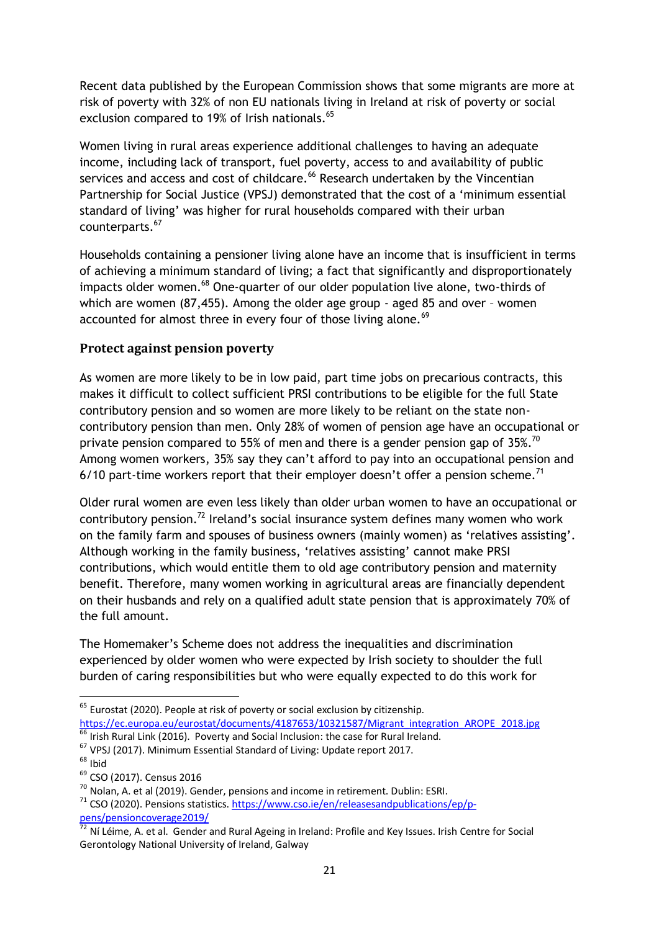Recent data published by the European Commission shows that some migrants are more at risk of poverty with 32% of non EU nationals living in Ireland at risk of poverty or social exclusion compared to 19% of Irish nationals.<sup>65</sup>

Women living in rural areas experience additional challenges to having an adequate income, including lack of transport, fuel poverty, access to and availability of public services and access and cost of childcare.<sup>66</sup> Research undertaken by the Vincentian Partnership for Social Justice (VPSJ) demonstrated that the cost of a 'minimum essential standard of living' was higher for rural households compared with their urban counterparts.<sup>67</sup>

Households containing a pensioner living alone have an income that is insufficient in terms of achieving a minimum standard of living; a fact that significantly and disproportionately impacts older women.<sup>68</sup> One-quarter of our older population live alone, two-thirds of which are women (87,455). Among the older age group - aged 85 and over – women accounted for almost three in every four of those living alone.<sup>69</sup>

#### **Protect against pension poverty**

As women are more likely to be in low paid, part time jobs on precarious contracts, this makes it difficult to collect sufficient PRSI contributions to be eligible for the full State contributory pension and so women are more likely to be reliant on the state noncontributory pension than men. Only 28% of women of pension age have an occupational or private pension compared to 55% of men and there is a gender pension gap of 35%.<sup>70</sup> Among women workers, 35% say they can't afford to pay into an occupational pension and 6/10 part-time workers report that their employer doesn't offer a pension scheme.<sup>71</sup>

Older rural women are even less likely than older urban women to have an occupational or contributory pension.<sup>72</sup> Ireland's social insurance system defines many women who work on the family farm and spouses of business owners (mainly women) as 'relatives assisting'. Although working in the family business, 'relatives assisting' cannot make PRSI contributions, which would entitle them to old age contributory pension and maternity benefit. Therefore, many women working in agricultural areas are financially dependent on their husbands and rely on a qualified adult state pension that is approximately 70% of the full amount.

The Homemaker's Scheme does not address the inequalities and discrimination experienced by older women who were expected by Irish society to shoulder the full burden of caring responsibilities but who were equally expected to do this work for

- $^5$  Irish Rural Link (2016). Poverty and Social Inclusion: the case for Rural Ireland.
- <sup>67</sup> VPSJ (2017). Minimum Essential Standard of Living: Update report 2017.

**.** 

 $<sup>65</sup>$  Eurostat (2020). People at risk of poverty or social exclusion by citizenship.</sup> [https://ec.europa.eu/eurostat/documents/4187653/10321587/Migrant\\_integration\\_AROPE\\_2018.jpg](https://ec.europa.eu/eurostat/documents/4187653/10321587/Migrant_integration_AROPE_2018.jpg)

 $68$  Ibid

<sup>69</sup> CSO (2017). Census 2016

 $70$  Nolan, A. et al (2019). Gender, pensions and income in retirement. Dublin: ESRI.

 $71$  CSO (2020). Pensions statistics[. https://www.cso.ie/en/releasesandpublications/ep/p](https://www.cso.ie/en/releasesandpublications/ep/p-pens/pensioncoverage2019/)[pens/pensioncoverage2019/](https://www.cso.ie/en/releasesandpublications/ep/p-pens/pensioncoverage2019/)

<sup>&</sup>lt;sup>72</sup> Ní Léime, A. et al. Gender and Rural Ageing in Ireland: Profile and Key Issues. Irish Centre for Social Gerontology National University of Ireland, Galway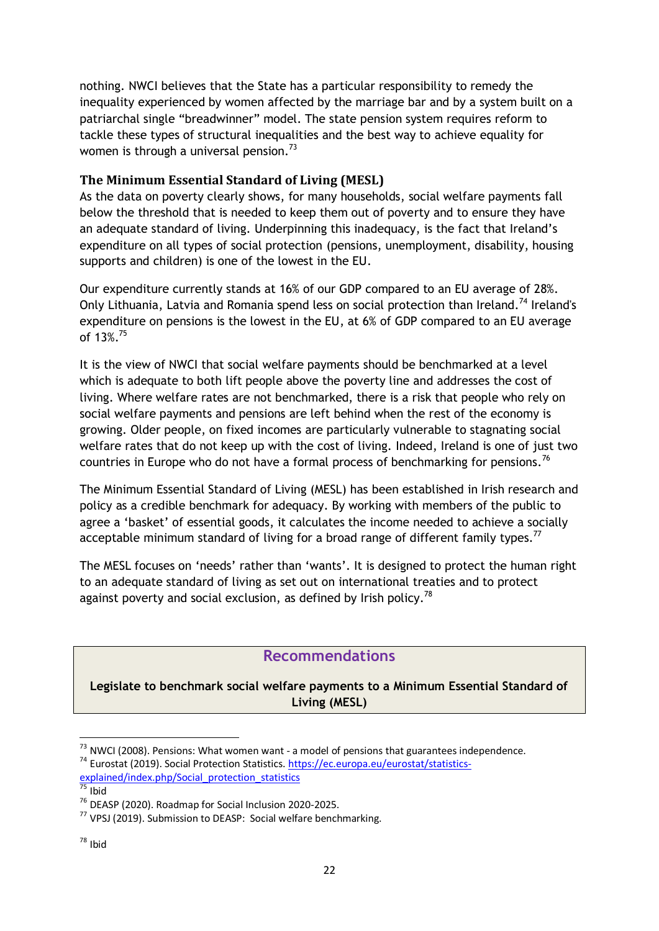nothing. NWCI believes that the State has a particular responsibility to remedy the inequality experienced by women affected by the marriage bar and by a system built on a patriarchal single "breadwinner" model. The state pension system requires reform to tackle these types of structural inequalities and the best way to achieve equality for women is through a universal pension.<sup>73</sup>

#### **The Minimum Essential Standard of Living (MESL)**

As the data on poverty clearly shows, for many households, social welfare payments fall below the threshold that is needed to keep them out of poverty and to ensure they have an adequate standard of living. Underpinning this inadequacy, is the fact that Ireland's expenditure on all types of social protection (pensions, unemployment, disability, housing supports and children) is one of the lowest in the EU.

Our expenditure currently stands at 16% of our GDP compared to an EU average of 28%. Only Lithuania, Latvia and Romania spend less on social protection than Ireland.<sup>74</sup> Ireland's expenditure on pensions is the lowest in the EU, at 6% of GDP compared to an EU average of 13%.<sup>75</sup>

It is the view of NWCI that social welfare payments should be benchmarked at a level which is adequate to both lift people above the poverty line and addresses the cost of living. Where welfare rates are not benchmarked, there is a risk that people who rely on social welfare payments and pensions are left behind when the rest of the economy is growing. Older people, on fixed incomes are particularly vulnerable to stagnating social welfare rates that do not keep up with the cost of living. Indeed, Ireland is one of just two countries in Europe who do not have a formal process of benchmarking for pensions.<sup>76</sup>

The Minimum Essential Standard of Living (MESL) has been established in Irish research and policy as a credible benchmark for adequacy. By working with members of the public to agree a 'basket' of essential goods, it calculates the income needed to achieve a socially acceptable minimum standard of living for a broad range of different family types.<sup>77</sup>

The MESL focuses on 'needs' rather than 'wants'. It is designed to protect the human right to an adequate standard of living as set out on international treaties and to protect against poverty and social exclusion, as defined by Irish policy.<sup>78</sup>

# **Recommendations**

**Legislate to benchmark social welfare payments to a Minimum Essential Standard of Living (MESL)**

1

 $^{73}$  NWCI (2008). Pensions: What women want - a model of pensions that guarantees independence.

<sup>74</sup> Eurostat (2019). Social Protection Statistics[. https://ec.europa.eu/eurostat/statistics-](https://ec.europa.eu/eurostat/statistics-explained/index.php/Social_protection_statistics)

explained/index.php/Social protection statistics

<sup>75</sup> Ibid

<sup>76</sup> DEASP (2020). Roadmap for Social Inclusion 2020-2025.

 $77$  VPSJ (2019). Submission to DEASP: Social welfare benchmarking.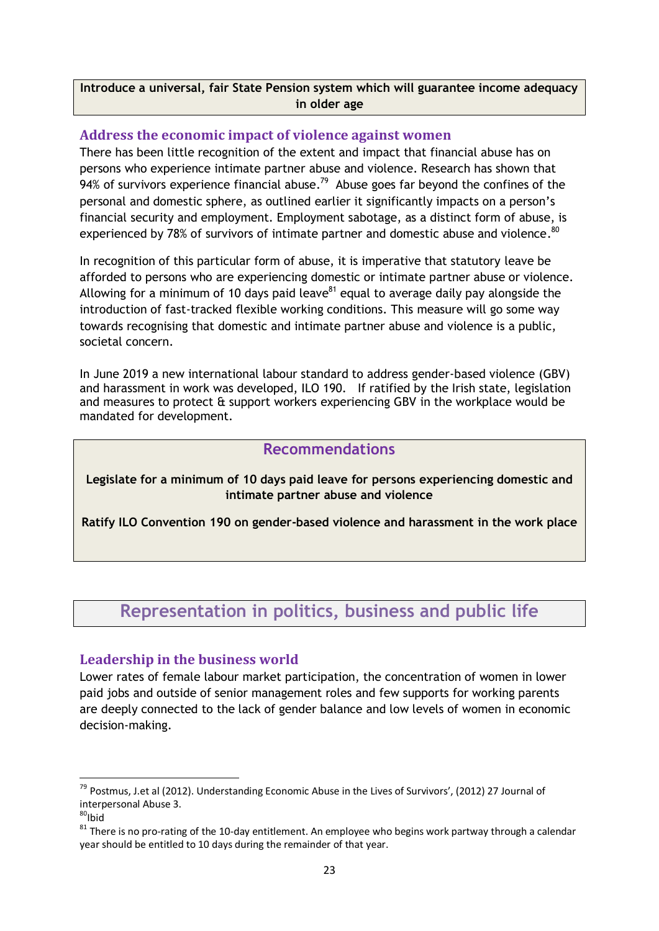#### **Introduce a universal, fair State Pension system which will guarantee income adequacy in older age**

#### **Address the economic impact of violence against women**

There has been little recognition of the extent and impact that financial abuse has on persons who experience intimate partner abuse and violence. Research has shown that 94% of survivors experience financial abuse.<sup>79</sup> Abuse goes far beyond the confines of the personal and domestic sphere, as outlined earlier it significantly impacts on a person's financial security and employment. Employment sabotage, as a distinct form of abuse, is experienced by 78% of survivors of intimate partner and domestic abuse and violence.  $80$ 

In recognition of this particular form of abuse, it is imperative that statutory leave be afforded to persons who are experiencing domestic or intimate partner abuse or violence. Allowing for a minimum of 10 days paid leave $^{81}$  equal to average daily pay alongside the introduction of fast-tracked flexible working conditions. This measure will go some way towards recognising that domestic and intimate partner abuse and violence is a public, societal concern.

In June 2019 a new international labour standard to address gender-based violence (GBV) and harassment in work was developed, ILO 190. If ratified by the Irish state, legislation and measures to protect & support workers experiencing GBV in the workplace would be mandated for development.

# **Recommendations**

**Legislate for a minimum of 10 days paid leave for persons experiencing domestic and intimate partner abuse and violence**

**Ratify ILO Convention 190 on gender-based violence and harassment in the work place**

# **Representation in politics, business and public life**

#### **Leadership in the business world**

Lower rates of female labour market participation, the concentration of women in lower paid jobs and outside of senior management roles and few supports for working parents are deeply connected to the lack of gender balance and low levels of women in economic decision-making.

**.** 

<sup>&</sup>lt;sup>79</sup> Postmus, J.et al (2012). Understanding Economic Abuse in the Lives of Survivors', (2012) 27 Journal of interpersonal Abuse 3.

 $80$ Ibid

 $81$  There is no pro-rating of the 10-day entitlement. An employee who begins work partway through a calendar year should be entitled to 10 days during the remainder of that year.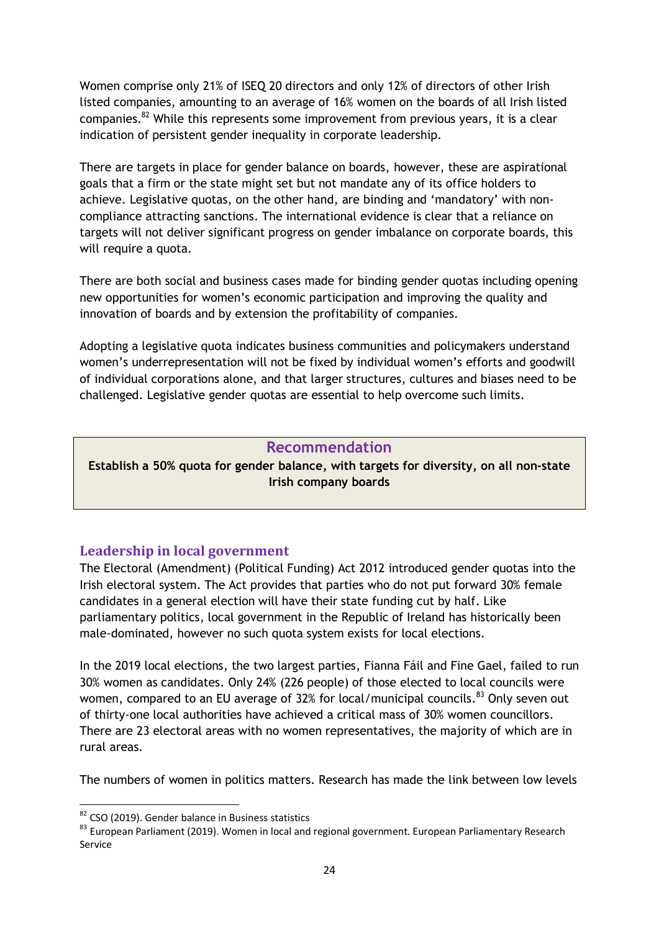Women comprise only 21% of ISEQ 20 directors and only 12% of directors of other Irish listed companies, amounting to an average of 16% women on the boards of all Irish listed companies. $^{82}$  While this represents some improvement from previous years, it is a clear indication of persistent gender inequality in corporate leadership.

There are targets in place for gender balance on boards, however, these are aspirational goals that a firm or the state might set but not mandate any of its office holders to achieve. Legislative quotas, on the other hand, are binding and 'mandatory' with noncompliance attracting sanctions. The international evidence is clear that a reliance on targets will not deliver significant progress on gender imbalance on corporate boards, this will require a quota.

There are both social and business cases made for binding gender quotas including opening new opportunities for women's economic participation and improving the quality and innovation of boards and by extension the profitability of companies.

Adopting a legislative quota indicates business communities and policymakers understand women's underrepresentation will not be fixed by individual women's efforts and goodwill of individual corporations alone, and that larger structures, cultures and biases need to be challenged. Legislative gender quotas are essential to help overcome such limits.

### **Recommendation**

**Establish a 50% quota for gender balance, with targets for diversity, on all non-state Irish company boards**

# **Leadership in local government**

The Electoral (Amendment) (Political Funding) Act 2012 introduced gender quotas into the Irish electoral system. The Act provides that parties who do not put forward 30% female candidates in a general election will have their state funding cut by half. Like parliamentary politics, local government in the Republic of Ireland has historically been male-dominated, however no such quota system exists for local elections.

In the 2019 local elections, the two largest parties, Fianna Fáil and Fine Gael, failed to run 30% women as candidates. Only 24% (226 people) of those elected to local councils were women, compared to an EU average of 32% for local/municipal councils.<sup>83</sup> Only seven out of thirty-one local authorities have achieved a critical mass of 30% women councillors. There are 23 electoral areas with no women representatives, the majority of which are in rural areas.

The numbers of women in politics matters. Research has made the link between low levels

<sup>&</sup>lt;sup>82</sup> CSO (2019). Gender balance in Business statistics

<sup>83</sup> European Parliament (2019). Women in local and regional government. European Parliamentary Research Service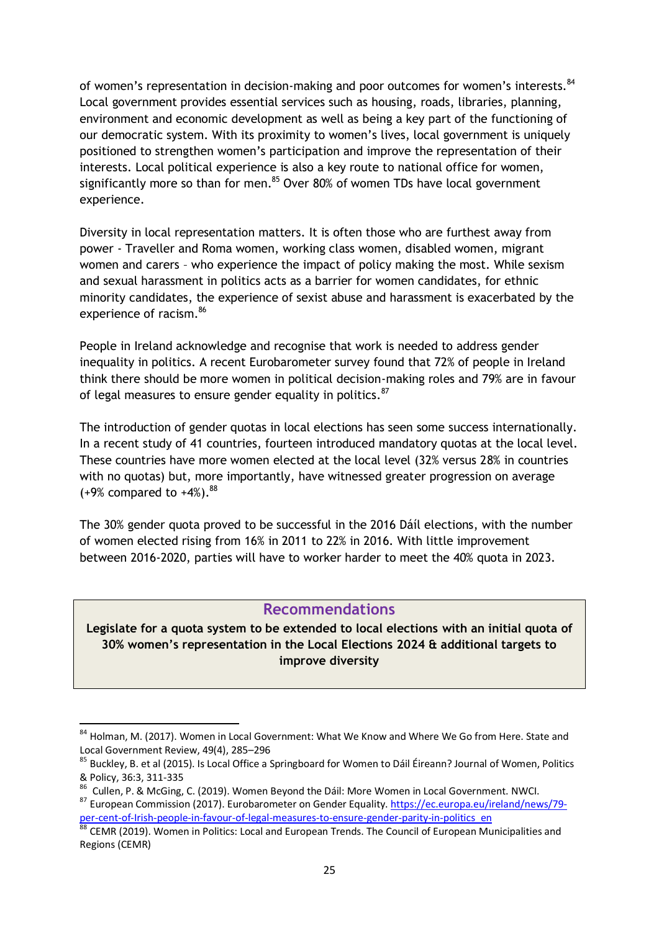of women's representation in decision-making and poor outcomes for women's interests.<sup>84</sup> Local government provides essential services such as housing, roads, libraries, planning, environment and economic development as well as being a key part of the functioning of our democratic system. With its proximity to women's lives, local government is uniquely positioned to strengthen women's participation and improve the representation of their interests. Local political experience is also a key route to national office for women, significantly more so than for men. $85$  Over 80% of women TDs have local government experience.

Diversity in local representation matters. It is often those who are furthest away from power - Traveller and Roma women, working class women, disabled women, migrant women and carers – who experience the impact of policy making the most. While sexism and sexual harassment in politics acts as a barrier for women candidates, for ethnic minority candidates, the experience of sexist abuse and harassment is exacerbated by the experience of racism.<sup>86</sup>

People in Ireland acknowledge and recognise that work is needed to address gender inequality in politics. A recent Eurobarometer survey found that 72% of people in Ireland think there should be more women in political decision-making roles and 79% are in favour of legal measures to ensure gender equality in politics.<sup>87</sup>

The introduction of gender quotas in local elections has seen some success internationally. In a recent study of 41 countries, fourteen introduced mandatory quotas at the local level. These countries have more women elected at the local level (32% versus 28% in countries with no quotas) but, more importantly, have witnessed greater progression on average  $(+9%$  compared to  $+4%$ ).<sup>88</sup>

The 30% gender quota proved to be successful in the 2016 Dáíl elections, with the number of women elected rising from 16% in 2011 to 22% in 2016. With little improvement between 2016-2020, parties will have to worker harder to meet the 40% quota in 2023.

#### **Recommendations**

**Legislate for a quota system to be extended to local elections with an initial quota of 30% women's representation in the Local Elections 2024 & additional targets to improve diversity** 

<sup>1</sup> 84 Holman, M. (2017). Women in Local Government: What We Know and Where We Go from Here. State and Local Government Review, 49(4), 285–296

<sup>85</sup> Buckley, B. et al (2015). Is Local Office a Springboard for Women to Dáil Éireann? Journal of Women, Politics & Policy, 36:3, 311-335

<sup>86</sup> Cullen, P. & McGing, C. (2019). Women Beyond the Dáil: More Women in Local Government. NWCI.

<sup>87</sup> European Commission (2017). Eurobarometer on Gender Equality[. https://ec.europa.eu/ireland/news/79](https://ec.europa.eu/ireland/news/79-per-cent-of-Irish-people-in-favour-of-legal-measures-to-ensure-gender-parity-in-politics_en) [per-cent-of-Irish-people-in-favour-of-legal-measures-to-ensure-gender-parity-in-politics\\_en](https://ec.europa.eu/ireland/news/79-per-cent-of-Irish-people-in-favour-of-legal-measures-to-ensure-gender-parity-in-politics_en)

<sup>88</sup> CEMR (2019). Women in Politics: Local and European Trends. The Council of European Municipalities and Regions (CEMR)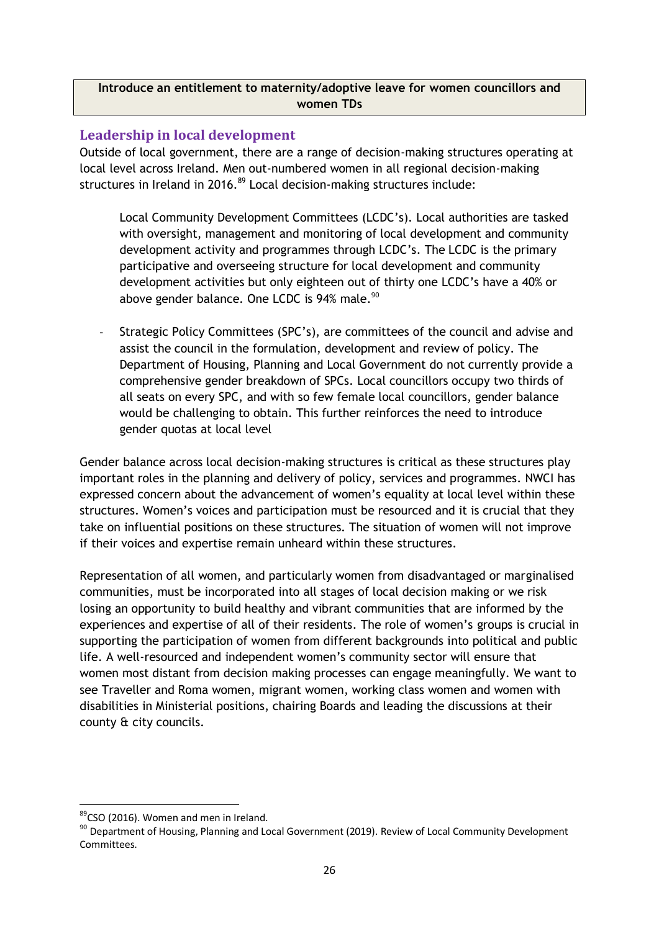#### **Introduce an entitlement to maternity/adoptive leave for women councillors and women TDs**

### **Leadership in local development**

Outside of local government, there are a range of decision-making structures operating at local level across Ireland. Men out-numbered women in all regional decision-making structures in Ireland in 2016.<sup>89</sup> Local decision-making structures include:

Local Community Development Committees (LCDC's). Local authorities are tasked with oversight, management and monitoring of local development and community development activity and programmes through LCDC's. The LCDC is the primary participative and overseeing structure for local development and community development activities but only eighteen out of thirty one LCDC's have a 40% or above gender balance. One LCDC is 94% male.<sup>90</sup>

Strategic Policy Committees (SPC's), are committees of the council and advise and assist the council in the formulation, development and review of policy. The Department of Housing, Planning and Local Government do not currently provide a comprehensive gender breakdown of SPCs. Local councillors occupy two thirds of all seats on every SPC, and with so few female local councillors, gender balance would be challenging to obtain. This further reinforces the need to introduce gender quotas at local level

Gender balance across local decision-making structures is critical as these structures play important roles in the planning and delivery of policy, services and programmes. NWCI has expressed concern about the advancement of women's equality at local level within these structures. Women's voices and participation must be resourced and it is crucial that they take on influential positions on these structures. The situation of women will not improve if their voices and expertise remain unheard within these structures.

Representation of all women, and particularly women from disadvantaged or marginalised communities, must be incorporated into all stages of local decision making or we risk losing an opportunity to build healthy and vibrant communities that are informed by the experiences and expertise of all of their residents. The role of women's groups is crucial in supporting the participation of women from different backgrounds into political and public life. A well-resourced and independent women's community sector will ensure that women most distant from decision making processes can engage meaningfully. We want to see Traveller and Roma women, migrant women, working class women and women with disabilities in Ministerial positions, chairing Boards and leading the discussions at their county & city councils.

<sup>&</sup>lt;sup>89</sup>CSO (2016). Women and men in Ireland.

<sup>90</sup> Department of Housing, Planning and Local Government (2019). Review of Local Community Development Committees.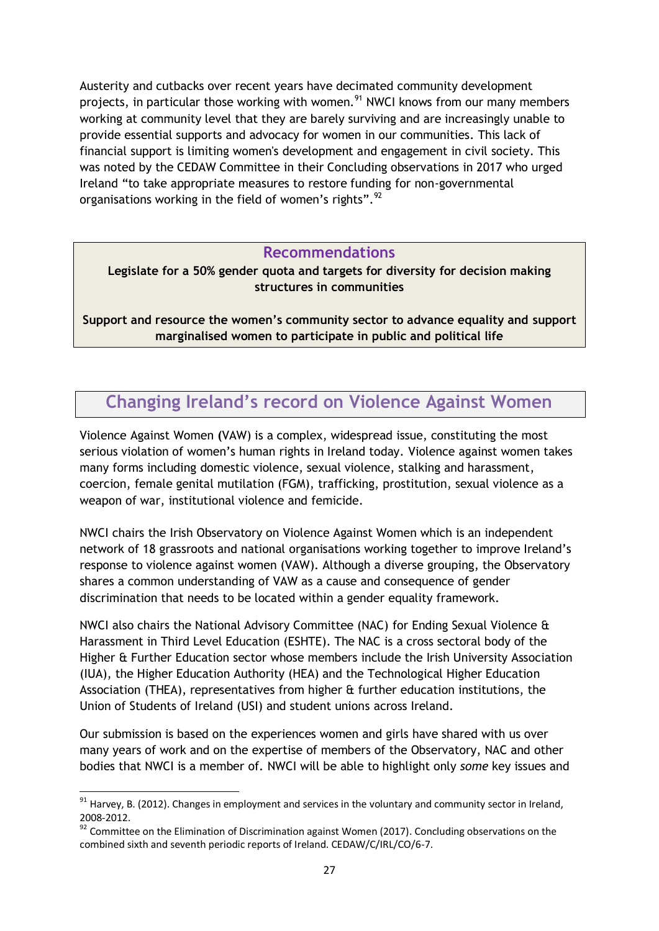Austerity and cutbacks over recent years have decimated community development projects, in particular those working with women.<sup>91</sup> NWCI knows from our many members working at community level that they are barely surviving and are increasingly unable to provide essential supports and advocacy for women in our communities. This lack of financial support is limiting women's development and engagement in civil society. This was noted by the CEDAW Committee in their Concluding observations in 2017 who urged Ireland "to take appropriate measures to restore funding for non-governmental organisations working in the field of women's rights".<sup>92</sup>

#### **Recommendations**

**Legislate for a 50% gender quota and targets for diversity for decision making structures in communities**

**Support and resource the women's community sector to advance equality and support marginalised women to participate in public and political life**

# **Changing Ireland's record on Violence Against Women**

Violence Against Women **(**VAW) is a complex, widespread issue, constituting the most serious violation of women's human rights in Ireland today. Violence against women takes many forms including domestic violence, sexual violence, stalking and harassment, coercion, female genital mutilation (FGM), trafficking, prostitution, sexual violence as a weapon of war, institutional violence and femicide.

NWCI chairs the Irish Observatory on Violence Against Women which is an independent network of 18 grassroots and national organisations working together to improve Ireland's response to violence against women (VAW). Although a diverse grouping, the Observatory shares a common understanding of VAW as a cause and consequence of gender discrimination that needs to be located within a gender equality framework.

NWCI also chairs the National Advisory Committee (NAC) for Ending Sexual Violence & Harassment in Third Level Education (ESHTE). The NAC is a cross sectoral body of the Higher & Further Education sector whose members include the Irish University Association (IUA), the Higher Education Authority (HEA) and the Technological Higher Education Association (THEA), representatives from higher & further education institutions, the Union of Students of Ireland (USI) and student unions across Ireland.

Our submission is based on the experiences women and girls have shared with us over many years of work and on the expertise of members of the Observatory, NAC and other bodies that NWCI is a member of. NWCI will be able to highlight only *some* key issues and

 $91$  Harvey, B. (2012). Changes in employment and services in the voluntary and community sector in Ireland, 2008-2012.

<sup>&</sup>lt;sup>92</sup> Committee on the Elimination of Discrimination against Women (2017). Concluding observations on the combined sixth and seventh periodic reports of Ireland. CEDAW/C/IRL/CO/6-7.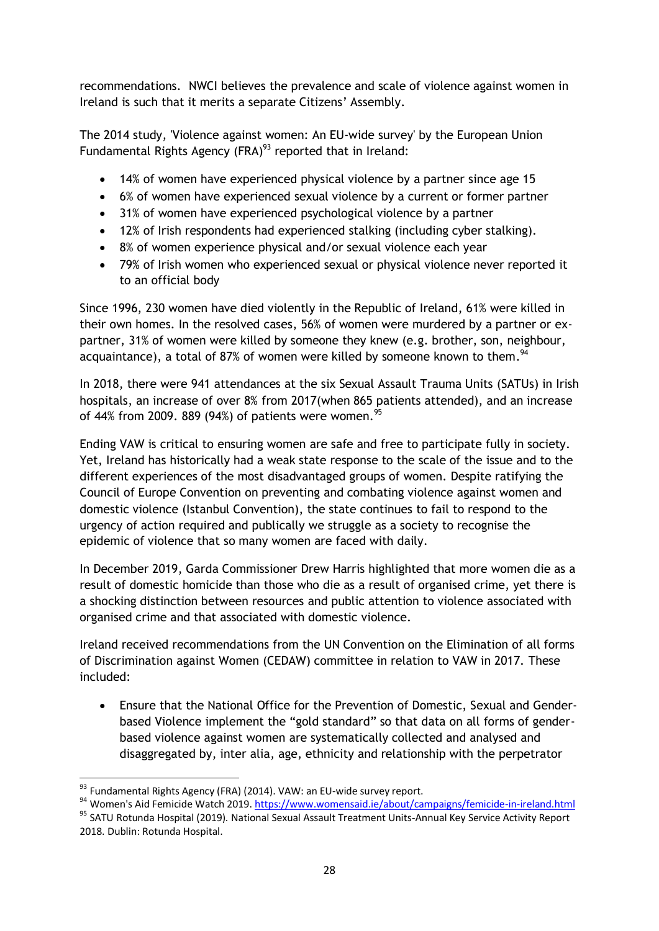recommendations. NWCI believes the prevalence and scale of violence against women in Ireland is such that it merits a separate Citizens' Assembly.

The 2014 study, 'Violence against women: An EU-wide survey' by the European Union Fundamental Rights Agency (FRA) $^{93}$  reported that in Ireland:

- 14% of women have experienced physical violence by a partner since age 15
- 6% of women have experienced sexual violence by a current or former partner
- 31% of women have experienced psychological violence by a partner
- 12% of Irish respondents had experienced stalking (including cyber stalking).
- 8% of women experience physical and/or sexual violence each year
- 79% of Irish women who experienced sexual or physical violence never reported it to an official body

Since 1996, 230 women have died violently in the Republic of Ireland, 61% were killed in their own homes. In the resolved cases, 56% of women were murdered by a partner or expartner, 31% of women were killed by someone they knew (e.g. brother, son, neighbour, acquaintance), a total of 87% of women were killed by someone known to them.<sup>94</sup>

In 2018, there were 941 attendances at the six Sexual Assault Trauma Units (SATUs) in Irish hospitals, an increase of over 8% from 2017(when 865 patients attended), and an increase of 44% from 2009. 889 (94%) of patients were women.<sup>95</sup>

Ending VAW is critical to ensuring women are safe and free to participate fully in society. Yet, Ireland has historically had a weak state response to the scale of the issue and to the different experiences of the most disadvantaged groups of women. Despite ratifying the Council of Europe Convention on preventing and combating violence against women and domestic violence (Istanbul Convention), the state continues to fail to respond to the urgency of action required and publically we struggle as a society to recognise the epidemic of violence that so many women are faced with daily.

In December 2019, Garda Commissioner Drew Harris highlighted that more women die as a result of domestic homicide than those who die as a result of organised crime, yet there is a shocking distinction between resources and public attention to violence associated with organised crime and that associated with domestic violence.

Ireland received recommendations from the UN Convention on the Elimination of all forms of Discrimination against Women (CEDAW) committee in relation to VAW in 2017. These included:

 Ensure that the National Office for the Prevention of Domestic, Sexual and Genderbased Violence implement the "gold standard" so that data on all forms of genderbased violence against women are systematically collected and analysed and disaggregated by, inter alia, age, ethnicity and relationship with the perpetrator

**<sup>.</sup>** 93 Fundamental Rights Agency (FRA) (2014). VAW: an EU-wide survey report.

<sup>94</sup> Women's Aid Femicide Watch 2019[. https://www.womensaid.ie/about/campaigns/femicide-in-ireland.html](https://www.womensaid.ie/about/campaigns/femicide-in-ireland.html)

<sup>95</sup> SATU Rotunda Hospital (2019). National Sexual Assault Treatment Units-Annual Key Service Activity Report 2018. Dublin: Rotunda Hospital.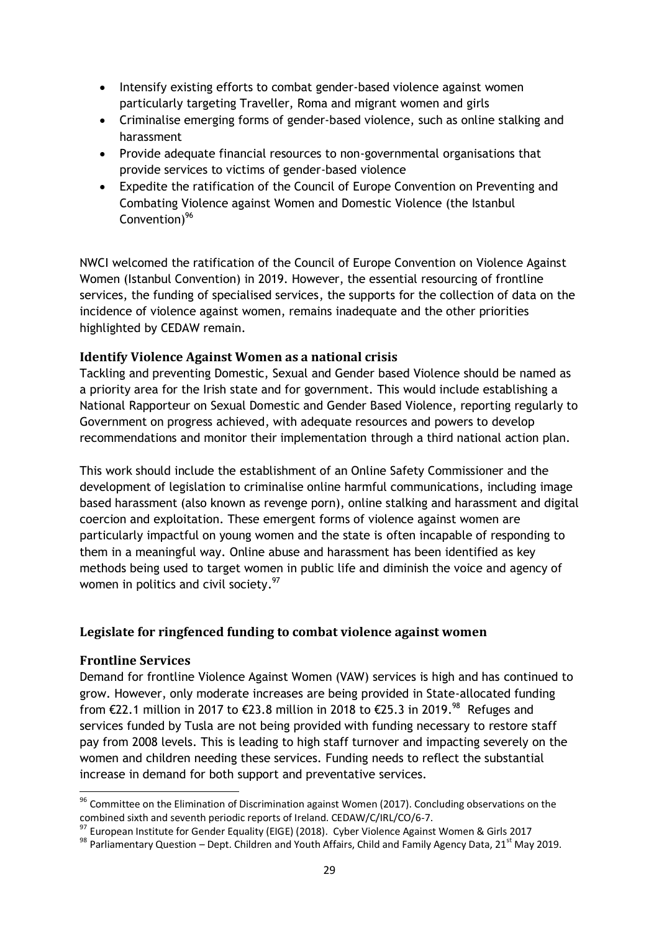- Intensify existing efforts to combat gender-based violence against women particularly targeting Traveller, Roma and migrant women and girls
- Criminalise emerging forms of gender-based violence, such as online stalking and harassment
- Provide adequate financial resources to non-governmental organisations that provide services to victims of gender-based violence
- Expedite the ratification of the Council of Europe Convention on Preventing and Combating Violence against Women and Domestic Violence (the Istanbul Convention) $96$

NWCI welcomed the ratification of the Council of Europe Convention on Violence Against Women (Istanbul Convention) in 2019. However, the essential resourcing of frontline services, the funding of specialised services, the supports for the collection of data on the incidence of violence against women, remains inadequate and the other priorities highlighted by CEDAW remain.

#### **Identify Violence Against Women as a national crisis**

Tackling and preventing Domestic, Sexual and Gender based Violence should be named as a priority area for the Irish state and for government. This would include establishing a National Rapporteur on Sexual Domestic and Gender Based Violence, reporting regularly to Government on progress achieved, with adequate resources and powers to develop recommendations and monitor their implementation through a third national action plan.

This work should include the establishment of an Online Safety Commissioner and the development of legislation to criminalise online harmful communications, including image based harassment (also known as revenge porn), online stalking and harassment and digital coercion and exploitation. These emergent forms of violence against women are particularly impactful on young women and the state is often incapable of responding to them in a meaningful way. Online abuse and harassment has been identified as key methods being used to target women in public life and diminish the voice and agency of women in politics and civil society.<sup>97</sup>

#### **Legislate for ringfenced funding to combat violence against women**

#### **Frontline Services**

-

Demand for frontline Violence Against Women (VAW) services is high and has continued to grow. However, only moderate increases are being provided in State-allocated funding from €22.1 million in 2017 to €23.8 million in 2018 to €25.3 in 2019.<sup>98</sup> Refuges and services funded by Tusla are not being provided with funding necessary to restore staff pay from 2008 levels. This is leading to high staff turnover and impacting severely on the women and children needing these services. Funding needs to reflect the substantial increase in demand for both support and preventative services.

<sup>&</sup>lt;sup>96</sup> Committee on the Elimination of Discrimination against Women (2017). Concluding observations on the combined sixth and seventh periodic reports of Ireland. CEDAW/C/IRL/CO/6-7.

<sup>&</sup>lt;sup>97</sup> European Institute for Gender Equality (EIGE) (2018). Cyber Violence Against Women & Girls 2017

<sup>98</sup> Parliamentary Question – Dept. Children and Youth Affairs, Child and Family Agency Data, 21<sup>st</sup> May 2019.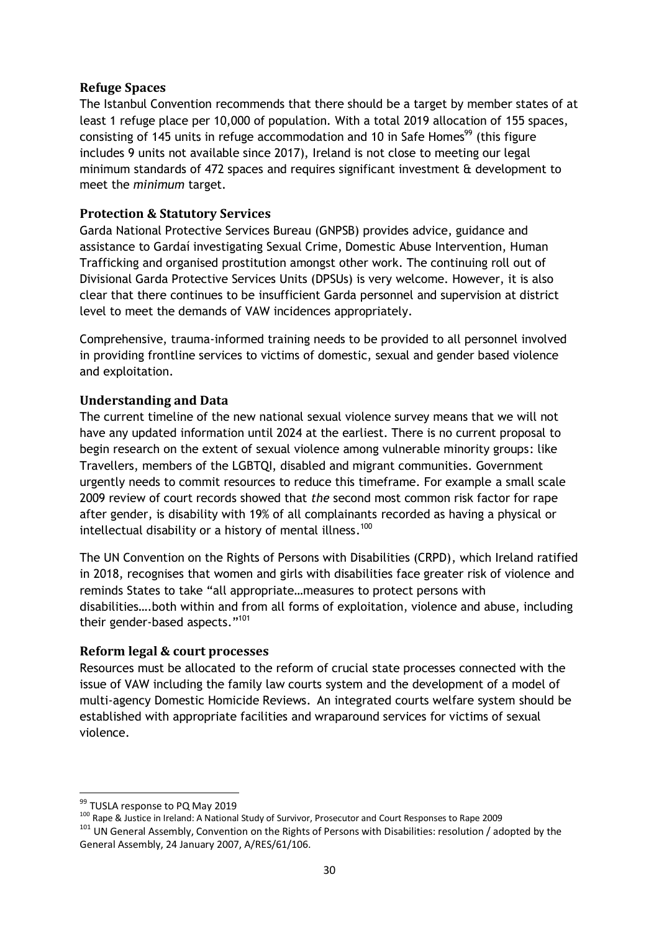#### **Refuge Spaces**

The Istanbul Convention recommends that there should be a target by member states of at least 1 refuge place per 10,000 of population. With a total 2019 allocation of 155 spaces, consisting of 145 units in refuge accommodation and 10 in Safe Homes<sup>99</sup> (this figure includes 9 units not available since 2017), Ireland is not close to meeting our legal minimum standards of 472 spaces and requires significant investment & development to meet the *minimum* target.

#### **Protection & Statutory Services**

Garda National Protective Services Bureau (GNPSB) provides advice, guidance and assistance to Gardaí investigating Sexual Crime, Domestic Abuse Intervention, Human Trafficking and organised prostitution amongst other work. The continuing roll out of Divisional Garda Protective Services Units (DPSUs) is very welcome. However, it is also clear that there continues to be insufficient Garda personnel and supervision at district level to meet the demands of VAW incidences appropriately.

Comprehensive, trauma-informed training needs to be provided to all personnel involved in providing frontline services to victims of domestic, sexual and gender based violence and exploitation.

### **Understanding and Data**

The current timeline of the new national sexual violence survey means that we will not have any updated information until 2024 at the earliest. There is no current proposal to begin research on the extent of sexual violence among vulnerable minority groups: like Travellers, members of the LGBTQI, disabled and migrant communities. Government urgently needs to commit resources to reduce this timeframe. For example a small scale 2009 review of court records showed that *the* second most common risk factor for rape after gender, is disability with 19% of all complainants recorded as having a physical or intellectual disability or a history of mental illness. 100

The UN Convention on the Rights of Persons with Disabilities (CRPD), which Ireland ratified in 2018, recognises that women and girls with disabilities face greater risk of violence and reminds States to take "all appropriate…measures to protect persons with disabilities….both within and from all forms of exploitation, violence and abuse, including their gender-based aspects."<sup>101</sup>

#### **Reform legal & court processes**

Resources must be allocated to the reform of crucial state processes connected with the issue of VAW including the family law courts system and the development of a model of multi-agency Domestic Homicide Reviews. An integrated courts welfare system should be established with appropriate facilities and wraparound services for victims of sexual violence.

**.** 

<sup>&</sup>lt;sup>99</sup> TUSLA response to PQ May 2019

<sup>100</sup> Rape & Justice in Ireland: A National Study of Survivor, Prosecutor and Court Responses to Rape 2009

<sup>&</sup>lt;sup>101</sup> UN General Assembly, Convention on the Rights of Persons with Disabilities: resolution / adopted by the General Assembly, 24 January 2007, A/RES/61/106.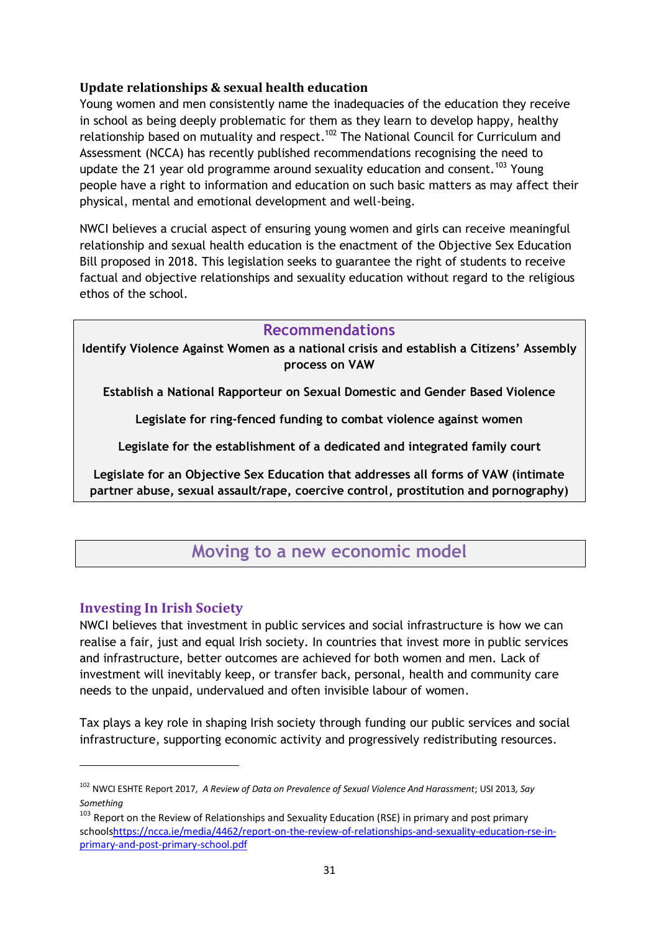### **Update relationships & sexual health education**

Young women and men consistently name the inadequacies of the education they receive in school as being deeply problematic for them as they learn to develop happy, healthy relationship based on mutuality and respect.<sup>102</sup> The National Council for Curriculum and Assessment (NCCA) has recently published recommendations recognising the need to update the 21 year old programme around sexuality education and consent.<sup>103</sup> Young people have a right to information and education on such basic matters as may affect their physical, mental and emotional development and well-being.

NWCI believes a crucial aspect of ensuring young women and girls can receive meaningful relationship and sexual health education is the enactment of the Objective Sex Education Bill proposed in 2018. This legislation seeks to guarantee the right of students to receive factual and objective relationships and sexuality education without regard to the religious ethos of the school.

### **Recommendations**

**Identify Violence Against Women as a national crisis and establish a Citizens' Assembly process on VAW** 

**Establish a National Rapporteur on Sexual Domestic and Gender Based Violence**

**Legislate for ring-fenced funding to combat violence against women**

**Legislate for the establishment of a dedicated and integrated family court**

**Legislate for an Objective Sex Education that addresses all forms of VAW (intimate partner abuse, sexual assault/rape, coercive control, prostitution and pornography)**

# **Moving to a new economic model**

# **Investing In Irish Society**

1

NWCI believes that investment in public services and social infrastructure is how we can realise a fair, just and equal Irish society. In countries that invest more in public services and infrastructure, better outcomes are achieved for both women and men. Lack of investment will inevitably keep, or transfer back, personal, health and community care needs to the unpaid, undervalued and often invisible labour of women.

Tax plays a key role in shaping Irish society through funding our public services and social infrastructure, supporting economic activity and progressively redistributing resources.

<sup>102</sup> NWCI ESHTE Report 2017, *A Review of Data on Prevalence of Sexual Violence And Harassment*; USI 2013*, Say Something*

<sup>&</sup>lt;sup>103</sup> Report on the Review of Relationships and Sexuality Education (RSE) in primary and post primary school[shttps://ncca.ie/media/4462/report-on-the-review-of-relationships-and-sexuality-education-rse-in](https://ncca.ie/media/4462/report-on-the-review-of-relationships-and-sexuality-education-rse-in-primary-and-post-primary-school.pdf)[primary-and-post-primary-school.pdf](https://ncca.ie/media/4462/report-on-the-review-of-relationships-and-sexuality-education-rse-in-primary-and-post-primary-school.pdf)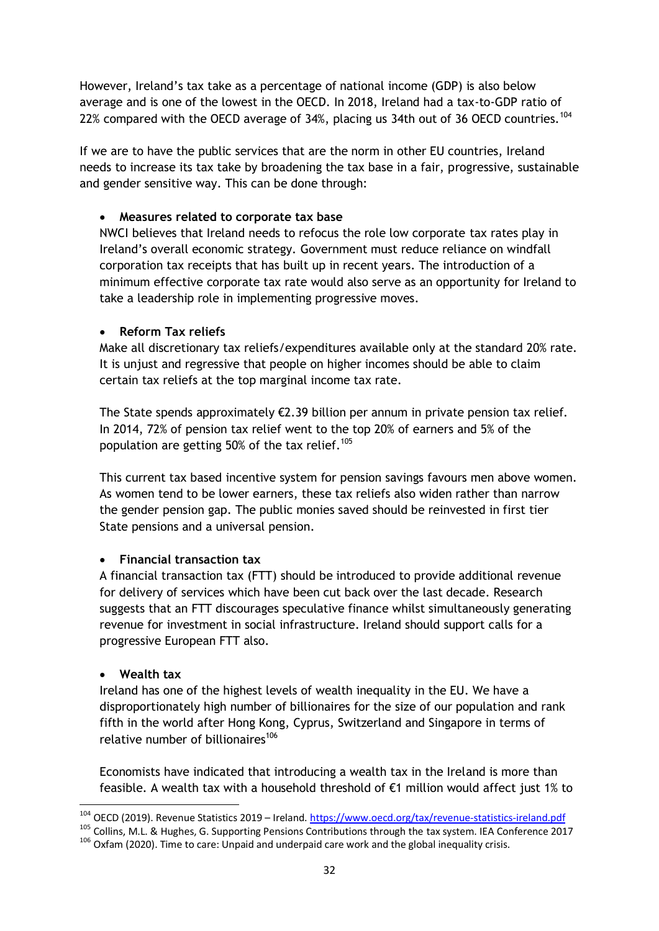However, Ireland's tax take as a percentage of national income (GDP) is also below average and is one of the lowest in the OECD. In 2018, Ireland had a tax-to-GDP ratio of 22% compared with the OECD average of 34%, placing us 34th out of 36 OECD countries.<sup>104</sup>

If we are to have the public services that are the norm in other EU countries, Ireland needs to increase its tax take by broadening the tax base in a fair, progressive, sustainable and gender sensitive way. This can be done through:

#### **Measures related to corporate tax base**

NWCI believes that Ireland needs to refocus the role low corporate tax rates play in Ireland's overall economic strategy. Government must reduce reliance on windfall corporation tax receipts that has built up in recent years. The introduction of a minimum effective corporate tax rate would also serve as an opportunity for Ireland to take a leadership role in implementing progressive moves.

### **Reform Tax reliefs**

Make all discretionary tax reliefs/expenditures available only at the standard 20% rate. It is unjust and regressive that people on higher incomes should be able to claim certain tax reliefs at the top marginal income tax rate.

The State spends approximately  $\epsilon$ 2.39 billion per annum in private pension tax relief. In 2014, 72% of pension tax relief went to the top 20% of earners and 5% of the population are getting 50% of the tax relief.<sup>105</sup>

This current tax based incentive system for pension savings favours men above women. As women tend to be lower earners, these tax reliefs also widen rather than narrow the gender pension gap. The public monies saved should be reinvested in first tier State pensions and a universal pension.

# **Financial transaction tax**

A financial transaction tax (FTT) should be introduced to provide additional revenue for delivery of services which have been cut back over the last decade. Research suggests that an FTT discourages speculative finance whilst simultaneously generating revenue for investment in social infrastructure. Ireland should support calls for a progressive European FTT also.

#### **Wealth tax**

Ireland has one of the highest levels of wealth inequality in the EU. We have a disproportionately high number of billionaires for the size of our population and rank fifth in the world after Hong Kong, Cyprus, Switzerland and Singapore in terms of relative number of billionaires<sup>106</sup>

Economists have indicated that introducing a wealth tax in the Ireland is more than feasible. A wealth tax with a household threshold of  $\epsilon$ 1 million would affect just 1% to

<sup>-</sup><sup>104</sup> OECD (2019). Revenue Statistics 2019 – Ireland[. https://www.oecd.org/tax/revenue-statistics-ireland.pdf](https://www.oecd.org/tax/revenue-statistics-ireland.pdf)

<sup>105</sup> COLD (2015). Revenue Statistics 2015 The matrix **Alterations Contributions through the tax system. IEA Conference 2017** 

<sup>106</sup> Oxfam (2020). Time to care: Unpaid and underpaid care work and the global inequality crisis.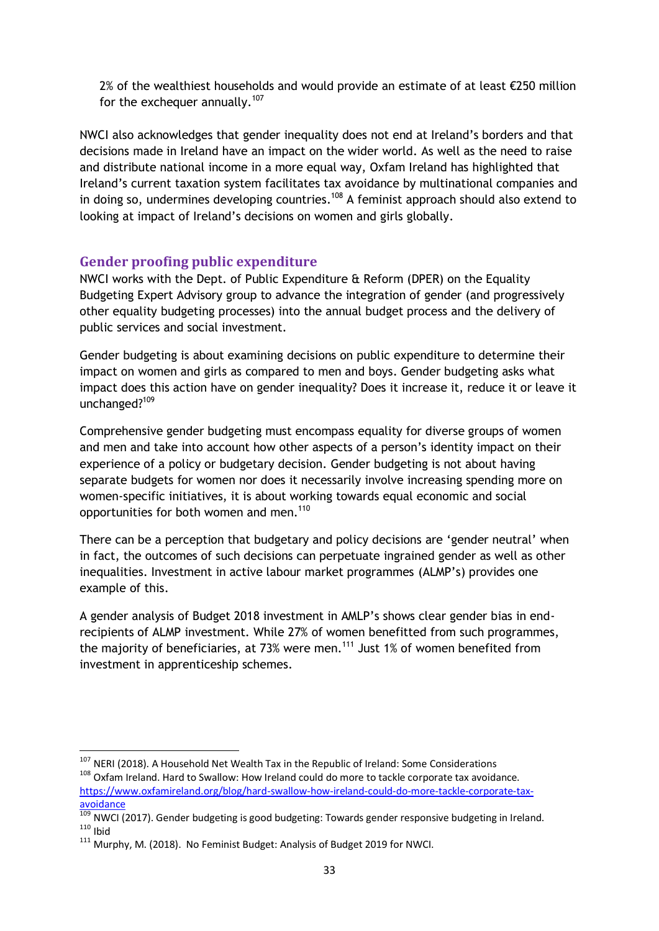2% of the wealthiest households and would provide an estimate of at least €250 million for the exchequer annually. $107$ 

NWCI also acknowledges that gender inequality does not end at Ireland's borders and that decisions made in Ireland have an impact on the wider world. As well as the need to raise and distribute national income in a more equal way, Oxfam Ireland has highlighted that Ireland's current taxation system facilitates tax avoidance by multinational companies and in doing so, undermines developing countries.<sup>108</sup> A feminist approach should also extend to looking at impact of Ireland's decisions on women and girls globally.

# **Gender proofing public expenditure**

NWCI works with the Dept. of Public Expenditure & Reform (DPER) on the Equality Budgeting Expert Advisory group to advance the integration of gender (and progressively other equality budgeting processes) into the annual budget process and the delivery of public services and social investment.

Gender budgeting is about examining decisions on public expenditure to determine their impact on women and girls as compared to men and boys. Gender budgeting asks what impact does this action have on gender inequality? Does it increase it, reduce it or leave it unchanged?<sup>109</sup>

Comprehensive gender budgeting must encompass equality for diverse groups of women and men and take into account how other aspects of a person's identity impact on their experience of a policy or budgetary decision. Gender budgeting is not about having separate budgets for women nor does it necessarily involve increasing spending more on women-specific initiatives, it is about working towards equal economic and social opportunities for both women and men.<sup>110</sup>

There can be a perception that budgetary and policy decisions are 'gender neutral' when in fact, the outcomes of such decisions can perpetuate ingrained gender as well as other inequalities. Investment in active labour market programmes (ALMP's) provides one example of this.

A gender analysis of Budget 2018 investment in AMLP's shows clear gender bias in endrecipients of ALMP investment. While 27% of women benefitted from such programmes, the majority of beneficiaries, at 73% were men.<sup>111</sup> Just 1% of women benefited from investment in apprenticeship schemes.

<sup>&</sup>lt;sup>107</sup> NERI (2018). A Household Net Wealth Tax in the Republic of Ireland: Some Considerations <sup>108</sup> Oxfam Ireland. Hard to Swallow: How Ireland could do more to tackle corporate tax avoidance.

[https://www.oxfamireland.org/blog/hard-swallow-how-ireland-could-do-more-tackle-corporate-tax](https://www.oxfamireland.org/blog/hard-swallow-how-ireland-could-do-more-tackle-corporate-tax-avoidance)[avoidance](https://www.oxfamireland.org/blog/hard-swallow-how-ireland-could-do-more-tackle-corporate-tax-avoidance)

Ing NWCI (2017). Gender budgeting is good budgeting: Towards gender responsive budgeting in Ireland.  $110$  Ibid

<sup>111</sup> Murphy, M. (2018). No Feminist Budget: Analysis of Budget 2019 for NWCI.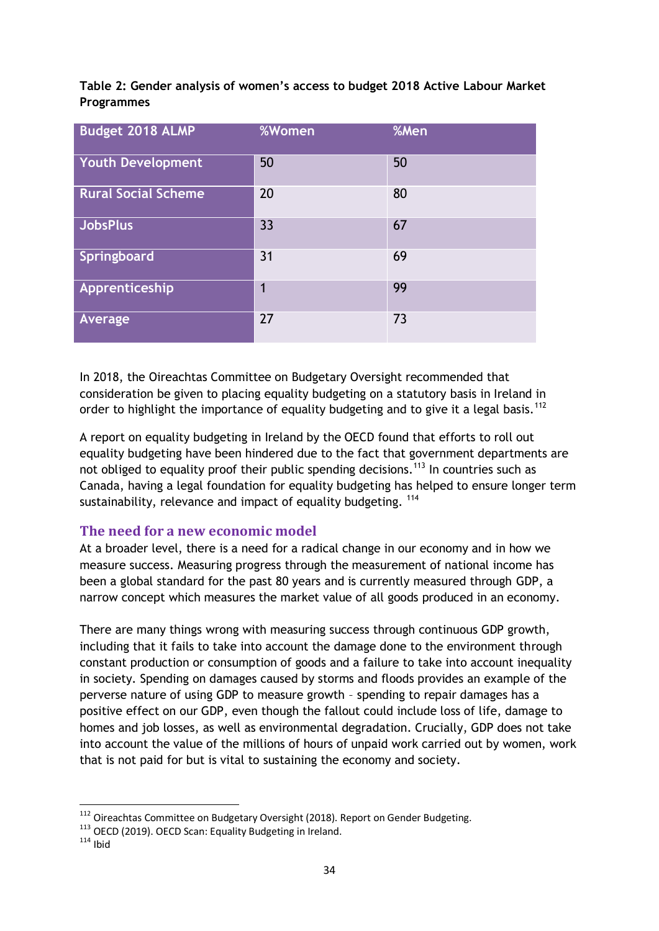| <b>Budget 2018 ALMP</b>    | <b>%Women</b> | %Men |
|----------------------------|---------------|------|
| <b>Youth Development</b>   | 50            | 50   |
| <b>Rural Social Scheme</b> | 20            | 80   |
| <b>JobsPlus</b>            | 33            | 67   |
| Springboard                | 31            | 69   |
| Apprenticeship             | 1             | 99   |
| Average                    | 27            | 73   |

**Table 2: Gender analysis of women's access to budget 2018 Active Labour Market Programmes**

In 2018, the Oireachtas Committee on Budgetary Oversight recommended that consideration be given to placing equality budgeting on a statutory basis in Ireland in order to highlight the importance of equality budgeting and to give it a legal basis.<sup>112</sup>

A report on equality budgeting in Ireland by the OECD found that efforts to roll out equality budgeting have been hindered due to the fact that government departments are not obliged to equality proof their public spending decisions.<sup>113</sup> In countries such as Canada, having a legal foundation for equality budgeting has helped to ensure longer term sustainability, relevance and impact of equality budgeting. <sup>114</sup>

#### **The need for a new economic model**

At a broader level, there is a need for a radical change in our economy and in how we measure success. Measuring progress through the measurement of national income has been a global standard for the past 80 years and is currently measured through GDP, a narrow concept which measures the market value of all goods produced in an economy.

There are many things wrong with measuring success through continuous GDP growth, including that it fails to take into account the damage done to the environment through constant production or consumption of goods and a failure to take into account inequality in society. Spending on damages caused by storms and floods provides an example of the perverse nature of using GDP to measure growth – spending to repair damages has a positive effect on our GDP, even though the fallout could include loss of life, damage to homes and job losses, as well as environmental degradation. Crucially, GDP does not take into account the value of the millions of hours of unpaid work carried out by women, work that is not paid for but is vital to sustaining the economy and society.

 $112$  Oireachtas Committee on Budgetary Oversight (2018). Report on Gender Budgeting.

<sup>113</sup> OECD (2019). OECD Scan: Equality Budgeting in Ireland.

 $114$  Ibid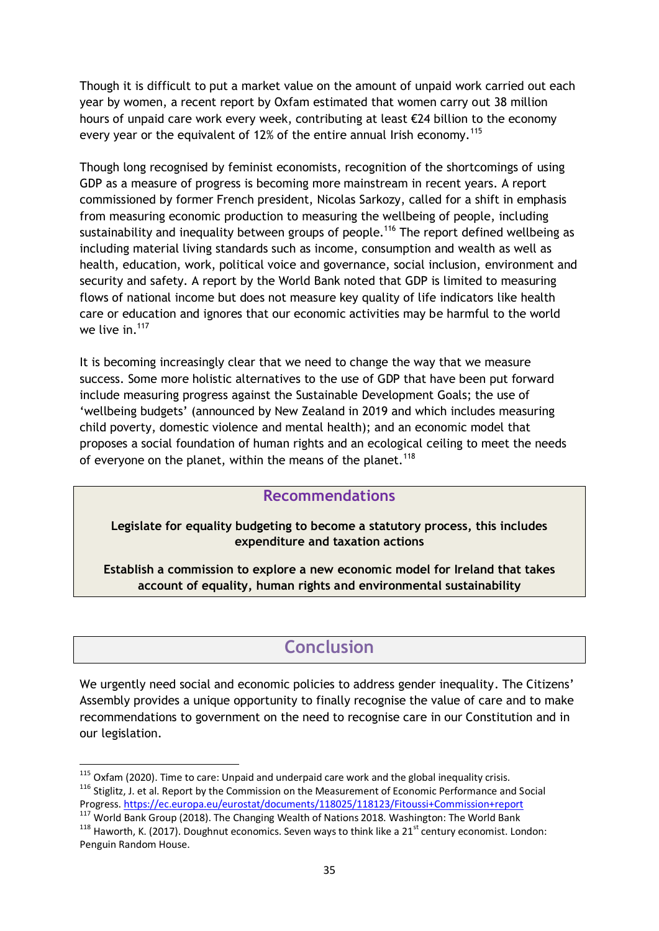Though it is difficult to put a market value on the amount of unpaid work carried out each year by women, a recent report by Oxfam estimated that women carry out 38 million hours of unpaid care work every week, contributing at least €24 billion to the economy every year or the equivalent of 12% of the entire annual Irish economy.<sup>115</sup>

Though long recognised by feminist economists, recognition of the shortcomings of using GDP as a measure of progress is becoming more mainstream in recent years. A report commissioned by former French president, Nicolas Sarkozy, called for a shift in emphasis from measuring economic production to measuring the wellbeing of people, including sustainability and inequality between groups of people.<sup>116</sup> The report defined wellbeing as including material living standards such as income, consumption and wealth as well as health, education, work, political voice and governance, social inclusion, environment and security and safety. A report by the World Bank noted that GDP is limited to measuring flows of national income but does not measure key quality of life indicators like health care or education and ignores that our economic activities may be harmful to the world we live in  $117$ 

It is becoming increasingly clear that we need to change the way that we measure success. Some more holistic alternatives to the use of GDP that have been put forward include measuring progress against the Sustainable Development Goals; the use of 'wellbeing budgets' (announced by New Zealand in 2019 and which includes measuring child poverty, domestic violence and mental health); and an economic model that proposes a social foundation of human rights and an ecological ceiling to meet the needs of everyone on the planet, within the means of the planet.<sup>118</sup>

# **Recommendations**

**Legislate for equality budgeting to become a statutory process, this includes expenditure and taxation actions**

**Establish a commission to explore a new economic model for Ireland that takes account of equality, human rights and environmental sustainability**

# **Conclusion**

We urgently need social and economic policies to address gender inequality. The Citizens' Assembly provides a unique opportunity to finally recognise the value of care and to make recommendations to government on the need to recognise care in our Constitution and in our legislation.

<sup>1</sup>  $115$  Oxfam (2020). Time to care: Unpaid and underpaid care work and the global inequality crisis. <sup>116</sup> Stiglitz, J. et al. Report by the Commission on the Measurement of Economic Performance and Social Progress[. https://ec.europa.eu/eurostat/documents/118025/118123/Fitoussi+Commission+report](https://ec.europa.eu/eurostat/documents/118025/118123/Fitoussi+Commission+report)

<sup>&</sup>lt;sup>117</sup> World Bank Group (2018). The Changing Wealth of Nations 2018. Washington: The World Bank

 $118$  Haworth, K. (2017). Doughnut economics. Seven ways to think like a 21<sup>st</sup> century economist. London: Penguin Random House.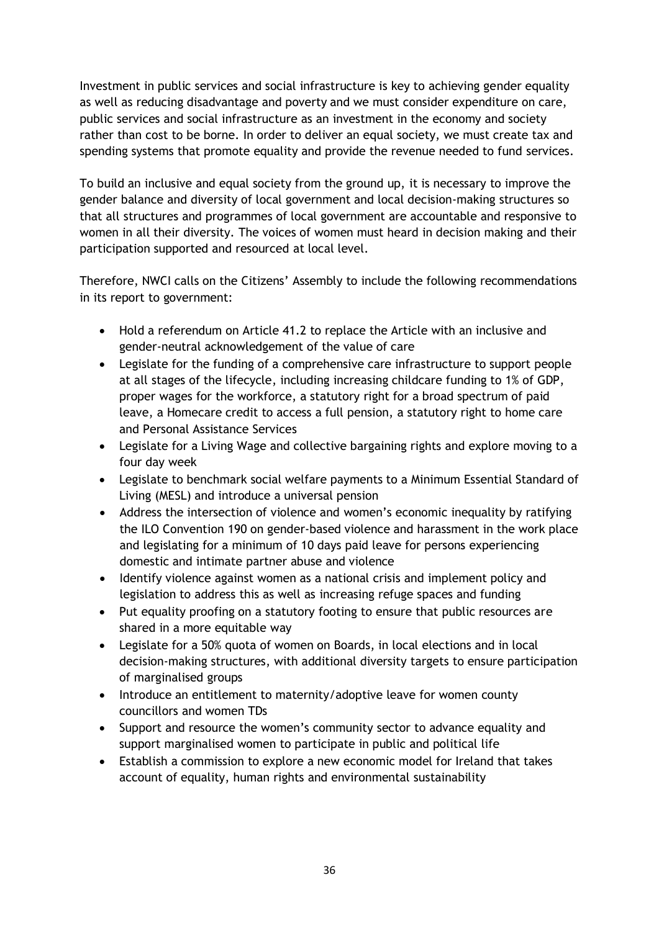Investment in public services and social infrastructure is key to achieving gender equality as well as reducing disadvantage and poverty and we must consider expenditure on care, public services and social infrastructure as an investment in the economy and society rather than cost to be borne. In order to deliver an equal society, we must create tax and spending systems that promote equality and provide the revenue needed to fund services.

To build an inclusive and equal society from the ground up, it is necessary to improve the gender balance and diversity of local government and local decision-making structures so that all structures and programmes of local government are accountable and responsive to women in all their diversity. The voices of women must heard in decision making and their participation supported and resourced at local level.

Therefore, NWCI calls on the Citizens' Assembly to include the following recommendations in its report to government:

- Hold a referendum on Article 41.2 to replace the Article with an inclusive and gender-neutral acknowledgement of the value of care
- Legislate for the funding of a comprehensive care infrastructure to support people at all stages of the lifecycle, including increasing childcare funding to 1% of GDP, proper wages for the workforce, a statutory right for a broad spectrum of paid leave, a Homecare credit to access a full pension, a statutory right to home care and Personal Assistance Services
- Legislate for a Living Wage and collective bargaining rights and explore moving to a four day week
- Legislate to benchmark social welfare payments to a Minimum Essential Standard of Living (MESL) and introduce a universal pension
- Address the intersection of violence and women's economic inequality by ratifying the ILO Convention 190 on gender-based violence and harassment in the work place and legislating for a minimum of 10 days paid leave for persons experiencing domestic and intimate partner abuse and violence
- Identify violence against women as a national crisis and implement policy and legislation to address this as well as increasing refuge spaces and funding
- Put equality proofing on a statutory footing to ensure that public resources are shared in a more equitable way
- Legislate for a 50% quota of women on Boards, in local elections and in local decision-making structures, with additional diversity targets to ensure participation of marginalised groups
- Introduce an entitlement to maternity/adoptive leave for women county councillors and women TDs
- Support and resource the women's community sector to advance equality and support marginalised women to participate in public and political life
- Establish a commission to explore a new economic model for Ireland that takes account of equality, human rights and environmental sustainability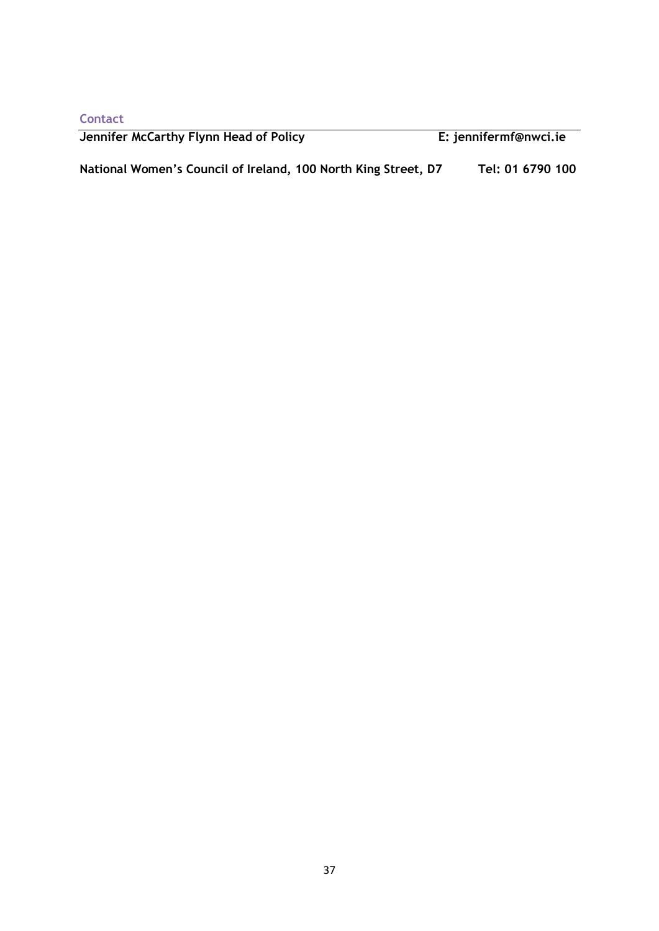**Contact**

| Jennifer McCarthy Flynn Head of Policy                         | E: jennifermf@nwci.ie |
|----------------------------------------------------------------|-----------------------|
| National Women's Council of Ireland, 100 North King Street, D7 | Tel: 01 6790 100      |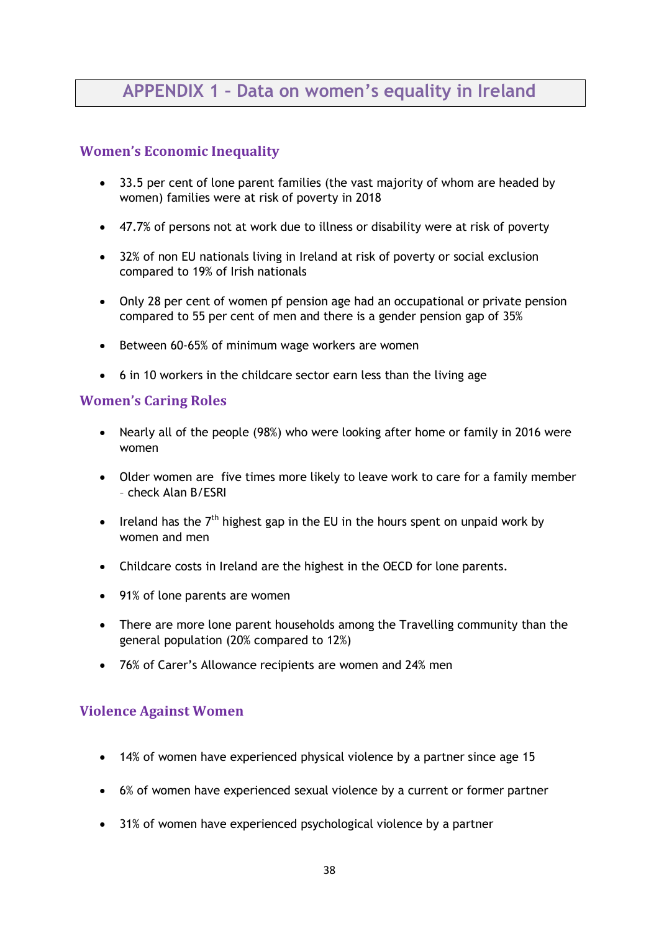# **APPENDIX 1 – Data on women's equality in Ireland**

# **Women's Economic Inequality**

- 33.5 per cent of lone parent families (the vast majority of whom are headed by women) families were at risk of poverty in 2018
- 47.7% of persons not at work due to illness or disability were at risk of poverty
- 32% of non EU nationals living in Ireland at risk of poverty or social exclusion compared to 19% of Irish nationals
- Only 28 per cent of women pf pension age had an occupational or private pension compared to 55 per cent of men and there is a gender pension gap of 35%
- Between 60-65% of minimum wage workers are women
- 6 in 10 workers in the childcare sector earn less than the living age

### **Women's Caring Roles**

- Nearly all of the people (98%) who were looking after home or family in 2016 were women
- Older women are five times more likely to leave work to care for a family member – check Alan B/ESRI
- Ireland has the  $7<sup>th</sup>$  highest gap in the EU in the hours spent on unpaid work by women and men
- Childcare costs in Ireland are the highest in the OECD for lone parents.
- 91% of lone parents are women
- There are more lone parent households among the Travelling community than the general population (20% compared to 12%)
- 76% of Carer's Allowance recipients are women and 24% men

# **Violence Against Women**

- 14% of women have experienced physical violence by a partner since age 15
- 6% of women have experienced sexual violence by a current or former partner
- 31% of women have experienced psychological violence by a partner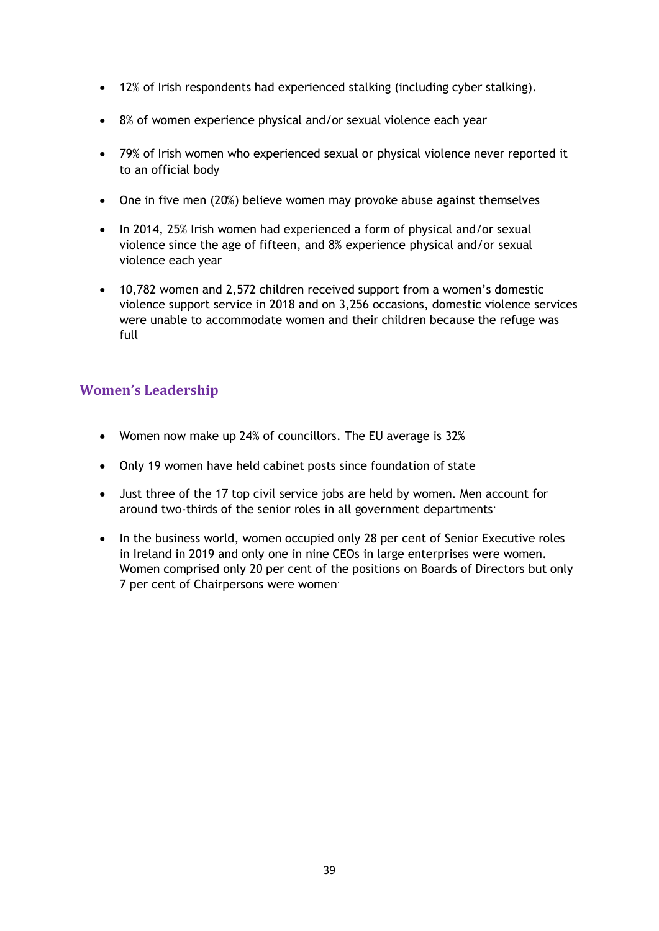- 12% of Irish respondents had experienced stalking (including cyber stalking).
- 8% of women experience physical and/or sexual violence each year
- 79% of Irish women who experienced sexual or physical violence never reported it to an official body
- One in five men (20%) believe women may provoke abuse against themselves
- In 2014, 25% Irish women had experienced a form of physical and/or sexual violence since the age of fifteen, and 8% experience physical and/or sexual violence each year
- 10,782 women and 2,572 children received support from a women's domestic violence support service in 2018 and on 3,256 occasions, domestic violence services were unable to accommodate women and their children because the refuge was full

# **Women's Leadership**

- Women now make up 24% of councillors. The EU average is 32%
- Only 19 women have held cabinet posts since foundation of state
- Just three of the 17 top civil service jobs are held by women. Men account for around two-thirds of the senior roles in all government departments.
- In the business world, women occupied only 28 per cent of Senior Executive roles in Ireland in 2019 and only one in nine CEOs in large enterprises were women. Women comprised only 20 per cent of the positions on Boards of Directors but only 7 per cent of Chairpersons were women.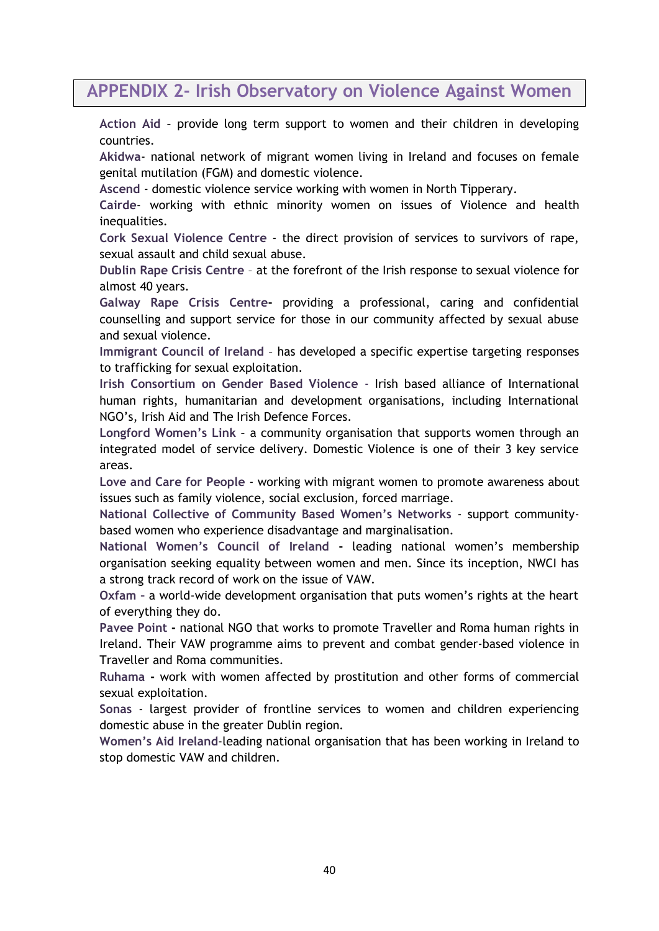# **APPENDIX 2- Irish Observatory on Violence Against Women**

**Action Aid** – provide long term support to women and their children in developing countries.

**Akidwa**- national network of migrant women living in Ireland and focuses on female genital mutilation (FGM) and domestic violence.

**Ascend** - domestic violence service working with women in North Tipperary.

**Cairde**- working with ethnic minority women on issues of Violence and health inequalities.

**Cork Sexual Violence Centre** - the direct provision of services to survivors of rape, sexual assault and child sexual abuse.

**Dublin Rape Crisis Centre** – at the forefront of the Irish response to sexual violence for almost 40 years.

**Galway Rape Crisis Centre-** providing a professional, caring and confidential counselling and support service for those in our community affected by sexual abuse and sexual violence.

**Immigrant Council of Ireland** – has developed a specific expertise targeting responses to trafficking for sexual exploitation.

**Irish Consortium on Gender Based Violence** - Irish based alliance of International human rights, humanitarian and development organisations, including International NGO's, Irish Aid and The Irish Defence Forces.

**Longford Women's Link** – a community organisation that supports women through an integrated model of service delivery. Domestic Violence is one of their 3 key service areas.

**Love and Care for People** - working with migrant women to promote awareness about issues such as family violence, social exclusion, forced marriage.

**National Collective of Community Based Women's Networks** - support communitybased women who experience disadvantage and marginalisation.

**National Women's Council of Ireland -** leading national women's membership organisation seeking equality between women and men. Since its inception, NWCI has a strong track record of work on the issue of VAW.

**Oxfam –** a world-wide development organisation that puts women's rights at the heart of everything they do.

**Pavee Point -** national NGO that works to promote Traveller and Roma human rights in Ireland. Their VAW programme aims to prevent and combat gender-based violence in Traveller and Roma communities.

**Ruhama -** work with women affected by prostitution and other forms of commercial sexual exploitation.

**Sonas** - largest provider of frontline services to women and children experiencing domestic abuse in the greater Dublin region.

**Women's Aid Ireland**-leading national organisation that has been working in Ireland to stop domestic VAW and children.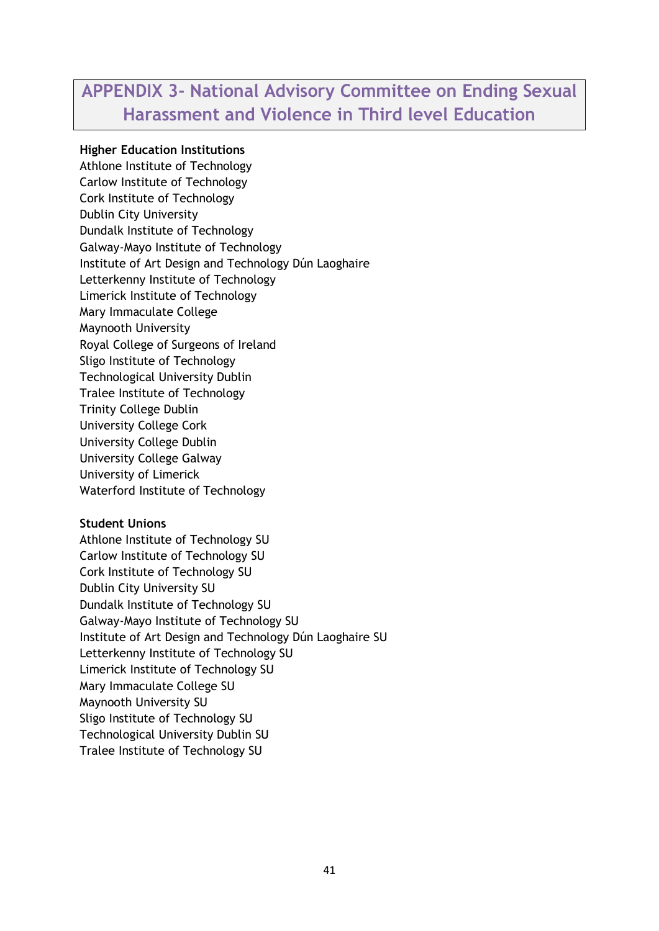# **APPENDIX 3- National Advisory Committee on Ending Sexual Harassment and Violence in Third level Education**

#### **Higher Education Institutions**

Athlone Institute of Technology Carlow Institute of Technology Cork Institute of Technology Dublin City University Dundalk Institute of Technology Galway-Mayo Institute of Technology Institute of Art Design and Technology Dún Laoghaire Letterkenny Institute of Technology Limerick Institute of Technology Mary Immaculate College Maynooth University Royal College of Surgeons of Ireland Sligo Institute of Technology Technological University Dublin Tralee Institute of Technology Trinity College Dublin University College Cork University College Dublin University College Galway University of Limerick Waterford Institute of Technology

#### **Student Unions**

Athlone Institute of Technology SU Carlow Institute of Technology SU Cork Institute of Technology SU Dublin City University SU Dundalk Institute of Technology SU Galway-Mayo Institute of Technology SU Institute of Art Design and Technology Dún Laoghaire SU Letterkenny Institute of Technology SU Limerick Institute of Technology SU Mary Immaculate College SU Maynooth University SU Sligo Institute of Technology SU Technological University Dublin SU Tralee Institute of Technology SU